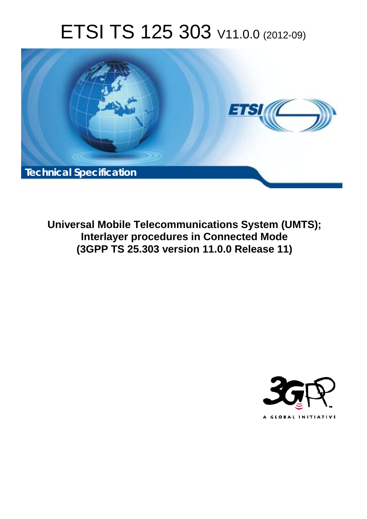# ETSI TS 125 303 V11.0.0 (2012-09)



**Universal Mobile Telecommunications System (UMTS); Interlayer procedures in Connected Mode (3GPP TS 25.303 version 11.0.0 Release 11)** 

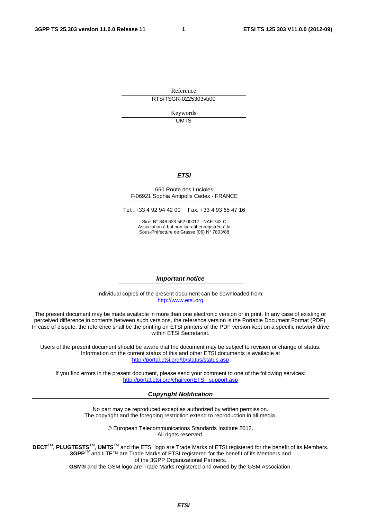Reference RTS/TSGR-0225303vb00

> Keywords UMTS

#### *ETSI*

#### 650 Route des Lucioles F-06921 Sophia Antipolis Cedex - FRANCE

Tel.: +33 4 92 94 42 00 Fax: +33 4 93 65 47 16

Siret N° 348 623 562 00017 - NAF 742 C Association à but non lucratif enregistrée à la Sous-Préfecture de Grasse (06) N° 7803/88

#### *Important notice*

Individual copies of the present document can be downloaded from: [http://www.etsi.org](http://www.etsi.org/)

The present document may be made available in more than one electronic version or in print. In any case of existing or perceived difference in contents between such versions, the reference version is the Portable Document Format (PDF). In case of dispute, the reference shall be the printing on ETSI printers of the PDF version kept on a specific network drive within ETSI Secretariat.

Users of the present document should be aware that the document may be subject to revision or change of status. Information on the current status of this and other ETSI documents is available at <http://portal.etsi.org/tb/status/status.asp>

If you find errors in the present document, please send your comment to one of the following services: [http://portal.etsi.org/chaircor/ETSI\\_support.asp](http://portal.etsi.org/chaircor/ETSI_support.asp)

#### *Copyright Notification*

No part may be reproduced except as authorized by written permission. The copyright and the foregoing restriction extend to reproduction in all media.

> © European Telecommunications Standards Institute 2012. All rights reserved.

DECT<sup>™</sup>, PLUGTESTS<sup>™</sup>, UMTS<sup>™</sup> and the ETSI logo are Trade Marks of ETSI registered for the benefit of its Members. **3GPP**TM and **LTE**™ are Trade Marks of ETSI registered for the benefit of its Members and of the 3GPP Organizational Partners.

**GSM**® and the GSM logo are Trade Marks registered and owned by the GSM Association.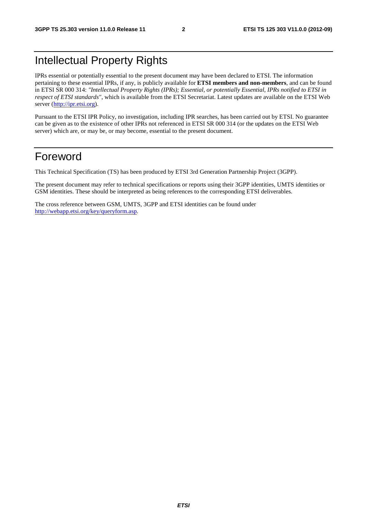## Intellectual Property Rights

IPRs essential or potentially essential to the present document may have been declared to ETSI. The information pertaining to these essential IPRs, if any, is publicly available for **ETSI members and non-members**, and can be found in ETSI SR 000 314: *"Intellectual Property Rights (IPRs); Essential, or potentially Essential, IPRs notified to ETSI in respect of ETSI standards"*, which is available from the ETSI Secretariat. Latest updates are available on the ETSI Web server [\(http://ipr.etsi.org](http://webapp.etsi.org/IPR/home.asp)).

Pursuant to the ETSI IPR Policy, no investigation, including IPR searches, has been carried out by ETSI. No guarantee can be given as to the existence of other IPRs not referenced in ETSI SR 000 314 (or the updates on the ETSI Web server) which are, or may be, or may become, essential to the present document.

## Foreword

This Technical Specification (TS) has been produced by ETSI 3rd Generation Partnership Project (3GPP).

The present document may refer to technical specifications or reports using their 3GPP identities, UMTS identities or GSM identities. These should be interpreted as being references to the corresponding ETSI deliverables.

The cross reference between GSM, UMTS, 3GPP and ETSI identities can be found under [http://webapp.etsi.org/key/queryform.asp.](http://webapp.etsi.org/key/queryform.asp)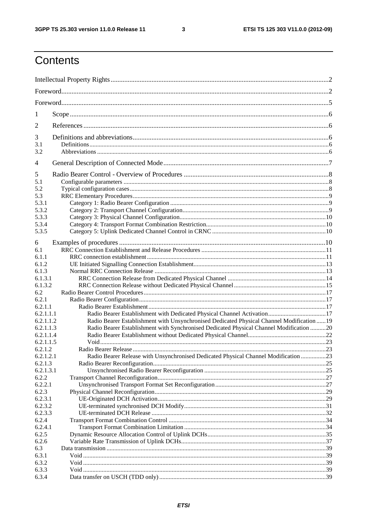$\mathbf{3}$ 

## Contents

| 1              |                                                                                            |  |
|----------------|--------------------------------------------------------------------------------------------|--|
| 2              |                                                                                            |  |
| 3              |                                                                                            |  |
| 3.1            |                                                                                            |  |
| 3.2            |                                                                                            |  |
| $\overline{4}$ |                                                                                            |  |
| 5              |                                                                                            |  |
| 5.1            |                                                                                            |  |
| 5.2            |                                                                                            |  |
| 5.3            |                                                                                            |  |
| 5.3.1          |                                                                                            |  |
| 5.3.2          |                                                                                            |  |
| 5.3.3          |                                                                                            |  |
| 5.3.4          |                                                                                            |  |
| 5.3.5          |                                                                                            |  |
| 6              |                                                                                            |  |
| 6.1            |                                                                                            |  |
| 6.1.1          |                                                                                            |  |
| 6.1.2          |                                                                                            |  |
| 6.1.3          |                                                                                            |  |
| 6.1.3.1        |                                                                                            |  |
| 6.1.3.2        |                                                                                            |  |
| 6.2            |                                                                                            |  |
| 6.2.1          |                                                                                            |  |
| 6.2.1.1        |                                                                                            |  |
| 6.2.1.1.1      |                                                                                            |  |
| 6.2.1.1.2      | Radio Bearer Establishment with Unsynchronised Dedicated Physical Channel Modification  19 |  |
| 6.2.1.1.3      | Radio Bearer Establishment with Synchronised Dedicated Physical Channel Modification 20    |  |
| 6.2.1.1.4      |                                                                                            |  |
| 6.2.1.1.5      |                                                                                            |  |
| 6.2.1.2        | Radio Bearer Release                                                                       |  |
| 6.2.1.2.1      | Radio Bearer Release with Unsynchronised Dedicated Physical Channel Modification 23        |  |
| 6.2.1.3        |                                                                                            |  |
| 6.2.1.3.1      |                                                                                            |  |
| 6.2.2          |                                                                                            |  |
| 6.2.2.1        |                                                                                            |  |
| 6.2.3          |                                                                                            |  |
| 6.2.3.1        |                                                                                            |  |
| 6.2.3.2        |                                                                                            |  |
| 6.2.3.3        |                                                                                            |  |
| 6.2.4          |                                                                                            |  |
| 6.2.4.1        |                                                                                            |  |
| 6.2.5          |                                                                                            |  |
| 6.2.6          |                                                                                            |  |
| 6.3            |                                                                                            |  |
| 6.3.1          |                                                                                            |  |
| 6.3.2          |                                                                                            |  |
| 6.3.3          |                                                                                            |  |
| 6.3.4          |                                                                                            |  |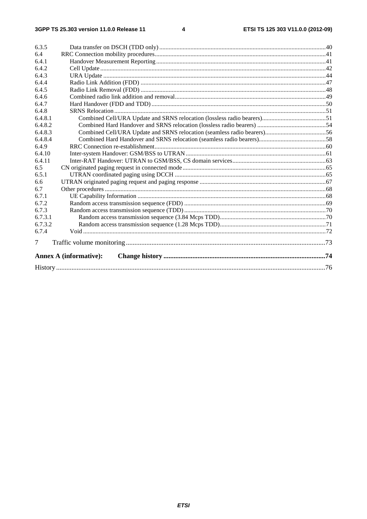|                | <b>Annex A (informative):</b> |  |
|----------------|-------------------------------|--|
| 7              |                               |  |
| 6.7.4          |                               |  |
| 6.7.3.2        |                               |  |
| 6.7.3.1        |                               |  |
| 6.7.3          |                               |  |
| 6.7.2          |                               |  |
| 6.7.1          |                               |  |
| 6.7            |                               |  |
| 6.6            |                               |  |
| 6.5.1          |                               |  |
| 6.5            |                               |  |
| 6.4.11         |                               |  |
| 6.4.10         |                               |  |
| 6.4.9          |                               |  |
| 6.4.8.4        |                               |  |
| 6.4.8.3        |                               |  |
| 6.4.8.2        |                               |  |
| 6.4.8.1        |                               |  |
| 6.4.8          |                               |  |
| 6.4.7          |                               |  |
| 6.4.6          |                               |  |
| 6.4.5          |                               |  |
| 6.4.4          |                               |  |
| 6.4.2<br>6.4.3 |                               |  |
| 6.4.1          |                               |  |
| 6.4            |                               |  |
| 6.3.5          |                               |  |
|                |                               |  |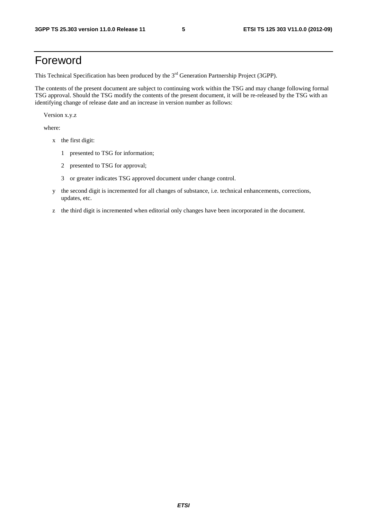## Foreword

This Technical Specification has been produced by the 3<sup>rd</sup> Generation Partnership Project (3GPP).

The contents of the present document are subject to continuing work within the TSG and may change following formal TSG approval. Should the TSG modify the contents of the present document, it will be re-released by the TSG with an identifying change of release date and an increase in version number as follows:

Version x.y.z

where:

- x the first digit:
	- 1 presented to TSG for information;
	- 2 presented to TSG for approval;
	- 3 or greater indicates TSG approved document under change control.
- y the second digit is incremented for all changes of substance, i.e. technical enhancements, corrections, updates, etc.
- z the third digit is incremented when editorial only changes have been incorporated in the document.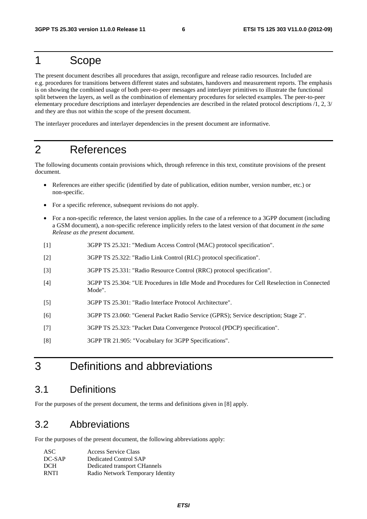## 1 Scope

The present document describes all procedures that assign, reconfigure and release radio resources. Included are e.g. procedures for transitions between different states and substates, handovers and measurement reports. The emphasis is on showing the combined usage of both peer-to-peer messages and interlayer primitives to illustrate the functional split between the layers, as well as the combination of elementary procedures for selected examples. The peer-to-peer elementary procedure descriptions and interlayer dependencies are described in the related protocol descriptions /1, 2, 3/ and they are thus not within the scope of the present document.

The interlayer procedures and interlayer dependencies in the present document are informative.

## 2 References

The following documents contain provisions which, through reference in this text, constitute provisions of the present document.

- References are either specific (identified by date of publication, edition number, version number, etc.) or non-specific.
- For a specific reference, subsequent revisions do not apply.
- For a non-specific reference, the latest version applies. In the case of a reference to a 3GPP document (including a GSM document), a non-specific reference implicitly refers to the latest version of that document *in the same Release as the present document*.
- [1] 3GPP TS 25.321: "Medium Access Control (MAC) protocol specification".
- [2] 3GPP TS 25.322: "Radio Link Control (RLC) protocol specification".
- [3] 3GPP TS 25.331: "Radio Resource Control (RRC) protocol specification".
- [4] 3GPP TS 25.304: "UE Procedures in Idle Mode and Procedures for Cell Reselection in Connected Mode".
- [5] 3GPP TS 25.301: "Radio Interface Protocol Architecture".
- [6] 3GPP TS 23.060: "General Packet Radio Service (GPRS); Service description; Stage 2".
- [7] 3GPP TS 25.323: "Packet Data Convergence Protocol (PDCP) specification".
- [8] 3GPP TR 21.905: "Vocabulary for 3GPP Specifications".

## 3 Definitions and abbreviations

## 3.1 Definitions

For the purposes of the present document, the terms and definitions given in [8] apply.

## 3.2 Abbreviations

For the purposes of the present document, the following abbreviations apply:

| ASC.        | Access Service Class             |
|-------------|----------------------------------|
| DC-SAP      | Dedicated Control SAP            |
| DCH         | Dedicated transport CHannels     |
| <b>RNTI</b> | Radio Network Temporary Identity |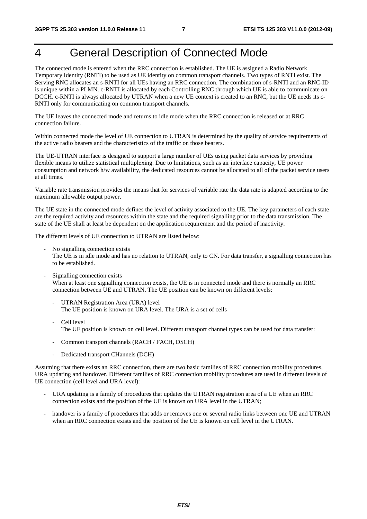## 4 General Description of Connected Mode

The connected mode is entered when the RRC connection is established. The UE is assigned a Radio Network Temporary Identity (RNTI) to be used as UE identity on common transport channels. Two types of RNTI exist. The Serving RNC allocates an s-RNTI for all UEs having an RRC connection. The combination of s-RNTI and an RNC-ID is unique within a PLMN. c-RNTI is allocated by each Controlling RNC through which UE is able to communicate on DCCH. c-RNTI is always allocated by UTRAN when a new UE context is created to an RNC, but the UE needs its c-RNTI only for communicating on common transport channels.

The UE leaves the connected mode and returns to idle mode when the RRC connection is released or at RRC connection failure.

Within connected mode the level of UE connection to UTRAN is determined by the quality of service requirements of the active radio bearers and the characteristics of the traffic on those bearers.

The UE-UTRAN interface is designed to support a large number of UEs using packet data services by providing flexible means to utilize statistical multiplexing. Due to limitations, such as air interface capacity, UE power consumption and network h/w availability, the dedicated resources cannot be allocated to all of the packet service users at all times.

Variable rate transmission provides the means that for services of variable rate the data rate is adapted according to the maximum allowable output power.

The UE state in the connected mode defines the level of activity associated to the UE. The key parameters of each state are the required activity and resources within the state and the required signalling prior to the data transmission. The state of the UE shall at least be dependent on the application requirement and the period of inactivity.

The different levels of UE connection to UTRAN are listed below:

- No signalling connection exists The UE is in idle mode and has no relation to UTRAN, only to CN. For data transfer, a signalling connection has to be established.
- Signalling connection exists When at least one signalling connection exists, the UE is in connected mode and there is normally an RRC connection between UE and UTRAN. The UE position can be known on different levels:
	- UTRAN Registration Area (URA) level The UE position is known on URA level. The URA is a set of cells
	- Cell level The UE position is known on cell level. Different transport channel types can be used for data transfer:
	- Common transport channels (RACH / FACH, DSCH)
	- Dedicated transport CHannels (DCH)

Assuming that there exists an RRC connection, there are two basic families of RRC connection mobility procedures, URA updating and handover. Different families of RRC connection mobility procedures are used in different levels of UE connection (cell level and URA level):

- URA updating is a family of procedures that updates the UTRAN registration area of a UE when an RRC connection exists and the position of the UE is known on URA level in the UTRAN;
- handover is a family of procedures that adds or removes one or several radio links between one UE and UTRAN when an RRC connection exists and the position of the UE is known on cell level in the UTRAN.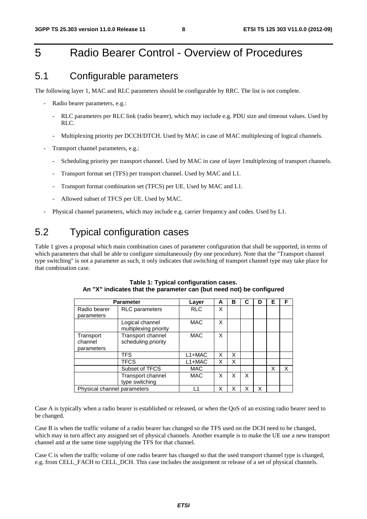## 5 Radio Bearer Control - Overview of Procedures

## 5.1 Configurable parameters

The following layer 1, MAC and RLC parameters should be configurable by RRC. The list is not complete.

- Radio bearer parameters, e.g.:
	- RLC parameters per RLC link (radio bearer), which may include e.g. PDU size and timeout values. Used by RLC.
	- Multiplexing priority per DCCH/DTCH. Used by MAC in case of MAC multiplexing of logical channels.
- Transport channel parameters, e.g.:
	- Scheduling priority per transport channel. Used by MAC in case of layer 1multiplexing of transport channels.
	- Transport format set (TFS) per transport channel. Used by MAC and L1.
	- Transport format combination set (TFCS) per UE. Used by MAC and L1.
	- Allowed subset of TFCS per UE. Used by MAC.
- Physical channel parameters, which may include e.g. carrier frequency and codes. Used by L1.

## 5.2 Typical configuration cases

Table 1 gives a proposal which main combination cases of parameter configuration that shall be supported, in terms of which parameters that shall be able to configure simultaneously (by one procedure). Note that the "Transport channel type switching" is not a parameter as such, it only indicates that switching of transport channel type may take place for that combination case.

| <b>Parameter</b>                   |                                          | Layer      | A | в | С | D | Е | F |
|------------------------------------|------------------------------------------|------------|---|---|---|---|---|---|
| Radio bearer<br>parameters         | <b>RLC</b> parameters                    | <b>RLC</b> | X |   |   |   |   |   |
|                                    | Logical channel<br>multiplexing priority | <b>MAC</b> | X |   |   |   |   |   |
| Transport<br>channel<br>parameters | Transport channel<br>scheduling priority | <b>MAC</b> | X |   |   |   |   |   |
|                                    | <b>TFS</b>                               | $L1+MAC$   | X | x |   |   |   |   |
|                                    | <b>TFCS</b>                              | $L1+MAC$   | x | x |   |   |   |   |
|                                    | Subset of TFCS                           | <b>MAC</b> |   |   |   |   | X | X |
|                                    | Transport channel<br>type switching      | <b>MAC</b> | X | x | X |   |   |   |
| Physical channel parameters        |                                          | l 1        | Χ | Χ |   | x |   |   |

#### **Table 1: Typical configuration cases. An "X" indicates that the parameter can (but need not) be configured**

Case A is typically when a radio bearer is established or released, or when the QoS of an existing radio bearer need to be changed.

Case B is when the traffic volume of a radio bearer has changed so the TFS used on the DCH need to be changed, which may in turn affect any assigned set of physical channels. Another example is to make the UE use a new transport channel and at the same time supplying the TFS for that channel.

Case C is when the traffic volume of one radio bearer has changed so that the used transport channel type is changed, e.g. from CELL\_FACH to CELL\_DCH. This case includes the assignment or release of a set of physical channels.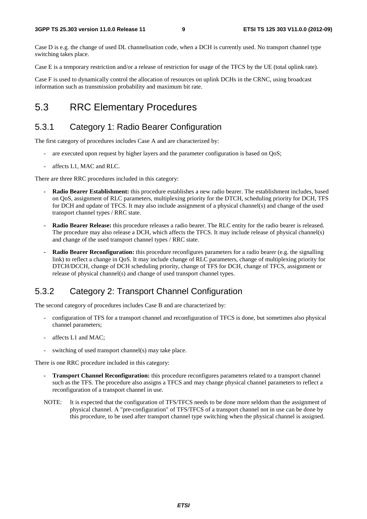Case D is e.g. the change of used DL channelisation code, when a DCH is currently used. No transport channel type switching takes place.

Case E is a temporary restriction and/or a release of restriction for usage of the TFCS by the UE (total uplink rate).

Case F is used to dynamically control the allocation of resources on uplink DCHs in the CRNC, using broadcast information such as transmission probability and maximum bit rate.

## 5.3 RRC Elementary Procedures

### 5.3.1 Category 1: Radio Bearer Configuration

The first category of procedures includes Case A and are characterized by:

- are executed upon request by higher layers and the parameter configuration is based on QoS;
- affects L1, MAC and RLC.

There are three RRC procedures included in this category:

- **Radio Bearer Establishment:** this procedure establishes a new radio bearer. The establishment includes, based on QoS, assignment of RLC parameters, multiplexing priority for the DTCH, scheduling priority for DCH, TFS for DCH and update of TFCS. It may also include assignment of a physical channel(s) and change of the used transport channel types / RRC state.
- **Radio Bearer Release:** this procedure releases a radio bearer. The RLC entity for the radio bearer is released. The procedure may also release a DCH, which affects the TFCS. It may include release of physical channel(s) and change of the used transport channel types / RRC state.
- **Radio Bearer Reconfiguration:** this procedure reconfigures parameters for a radio bearer (e.g. the signalling link) to reflect a change in QoS. It may include change of RLC parameters, change of multiplexing priority for DTCH/DCCH, change of DCH scheduling priority, change of TFS for DCH, change of TFCS, assignment or release of physical channel(s) and change of used transport channel types.

### 5.3.2 Category 2: Transport Channel Configuration

The second category of procedures includes Case B and are characterized by:

- configuration of TFS for a transport channel and reconfiguration of TFCS is done, but sometimes also physical channel parameters;
- affects L1 and MAC:
- switching of used transport channel(s) may take place.

There is one RRC procedure included in this category:

- **Transport Channel Reconfiguration:** this procedure reconfigures parameters related to a transport channel such as the TFS. The procedure also assigns a TFCS and may change physical channel parameters to reflect a reconfiguration of a transport channel in use.
- NOTE: It is expected that the configuration of TFS/TFCS needs to be done more seldom than the assignment of physical channel. A "pre-configuration" of TFS/TFCS of a transport channel not in use can be done by this procedure, to be used after transport channel type switching when the physical channel is assigned.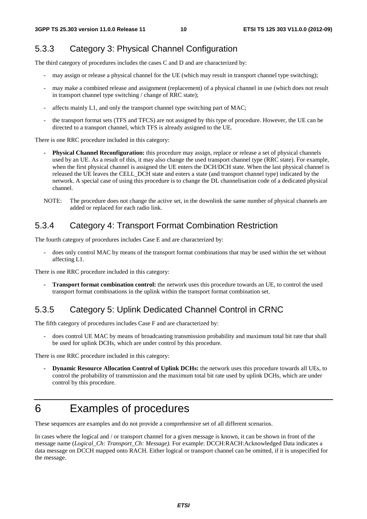### 5.3.3 Category 3: Physical Channel Configuration

The third category of procedures includes the cases C and D and are characterized by:

- may assign or release a physical channel for the UE (which may result in transport channel type switching);
- may make a combined release and assignment (replacement) of a physical channel in use (which does not result in transport channel type switching / change of RRC state);
- affects mainly L1, and only the transport channel type switching part of MAC:
- the transport format sets (TFS and TFCS) are not assigned by this type of procedure. However, the UE can be directed to a transport channel, which TFS is already assigned to the UE.

There is one RRC procedure included in this category:

- **Physical Channel Reconfiguration:** this procedure may assign, replace or release a set of physical channels used by an UE. As a result of this, it may also change the used transport channel type (RRC state). For example, when the first physical channel is assigned the UE enters the DCH/DCH state. When the last physical channel is released the UE leaves the CELL\_DCH state and enters a state (and transport channel type) indicated by the network. A special case of using this procedure is to change the DL channelisation code of a dedicated physical channel.
- NOTE: The procedure does not change the active set, in the downlink the same number of physical channels are added or replaced for each radio link.

### 5.3.4 Category 4: Transport Format Combination Restriction

The fourth category of procedures includes Case E and are characterized by:

- does only control MAC by means of the transport format combinations that may be used within the set without affecting L1.

There is one RRC procedure included in this category:

**- Transport format combination control:** the network uses this procedure towards an UE, to control the used transport format combinations in the uplink within the transport format combination set.

### 5.3.5 Category 5: Uplink Dedicated Channel Control in CRNC

The fifth category of procedures includes Case F and are characterized by:

- does control UE MAC by means of broadcasting transmission probability and maximum total bit rate that shall be used for uplink DCHs, which are under control by this procedure.

There is one RRC procedure included in this category:

**- Dynamic Resource Allocation Control of Uplink DCHs:** the network uses this procedure towards all UEs, to control the probability of transmission and the maximum total bit rate used by uplink DCHs, which are under control by this procedure.

## 6 Examples of procedures

These sequences are examples and do not provide a comprehensive set of all different scenarios.

In cases where the logical and / or transport channel for a given message is known, it can be shown in front of the message name (*Logical\_Ch: Transport\_Ch: Message).* For example: DCCH:RACH:Acknowledged Data indicates a data message on DCCH mapped onto RACH. Either logical or transport channel can be omitted, if it is unspecified for the message.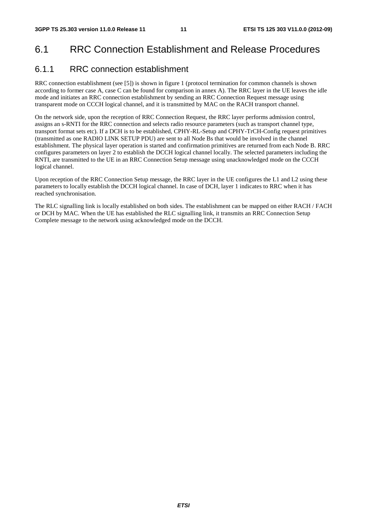## 6.1 RRC Connection Establishment and Release Procedures

### 6.1.1 RRC connection establishment

RRC connection establishment (see [5]) is shown in figure 1 (protocol termination for common channels is shown according to former case A, case C can be found for comparison in annex A). The RRC layer in the UE leaves the idle mode and initiates an RRC connection establishment by sending an RRC Connection Request message using transparent mode on CCCH logical channel, and it is transmitted by MAC on the RACH transport channel.

On the network side, upon the reception of RRC Connection Request, the RRC layer performs admission control, assigns an s-RNTI for the RRC connection and selects radio resource parameters (such as transport channel type, transport format sets etc). If a DCH is to be established, CPHY-RL-Setup and CPHY-TrCH-Config request primitives (transmitted as one RADIO LINK SETUP PDU) are sent to all Node Bs that would be involved in the channel establishment. The physical layer operation is started and confirmation primitives are returned from each Node B. RRC configures parameters on layer 2 to establish the DCCH logical channel locally. The selected parameters including the RNTI, are transmitted to the UE in an RRC Connection Setup message using unacknowledged mode on the CCCH logical channel.

Upon reception of the RRC Connection Setup message, the RRC layer in the UE configures the L1 and L2 using these parameters to locally establish the DCCH logical channel. In case of DCH, layer 1 indicates to RRC when it has reached synchronisation.

The RLC signalling link is locally established on both sides. The establishment can be mapped on either RACH / FACH or DCH by MAC. When the UE has established the RLC signalling link, it transmits an RRC Connection Setup Complete message to the network using acknowledged mode on the DCCH.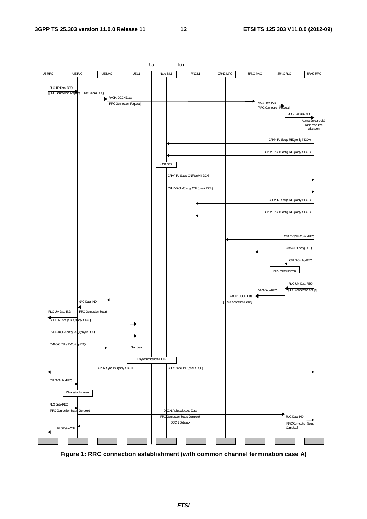

**Figure 1: RRC connection establishment (with common channel termination case A)** 

*ETSI*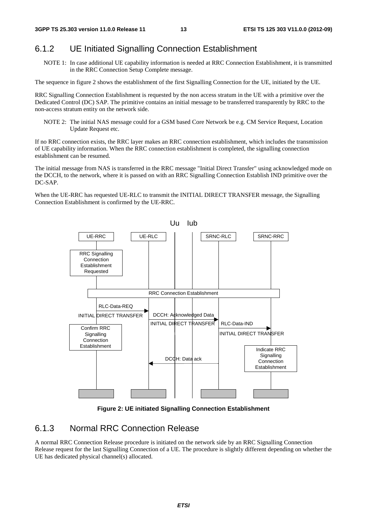### 6.1.2 UE Initiated Signalling Connection Establishment

NOTE 1: In case additional UE capability information is needed at RRC Connection Establishment, it is transmitted in the RRC Connection Setup Complete message.

The sequence in figure 2 shows the establishment of the first Signalling Connection for the UE, initiated by the UE.

RRC Signalling Connection Establishment is requested by the non access stratum in the UE with a primitive over the Dedicated Control (DC) SAP. The primitive contains an initial message to be transferred transparently by RRC to the non-access stratum entity on the network side.

NOTE 2: The initial NAS message could for a GSM based Core Network be e.g. CM Service Request, Location Update Request etc.

If no RRC connection exists, the RRC layer makes an RRC connection establishment, which includes the transmission of UE capability information. When the RRC connection establishment is completed, the signalling connection establishment can be resumed.

The initial message from NAS is transferred in the RRC message "Initial Direct Transfer" using acknowledged mode on the DCCH, to the network, where it is passed on with an RRC Signalling Connection Establish IND primitive over the DC-SAP.

When the UE-RRC has requested UE-RLC to transmit the INITIAL DIRECT TRANSFER message, the Signalling Connection Establishment is confirmed by the UE-RRC.



**Figure 2: UE initiated Signalling Connection Establishment** 

#### 6.1.3 Normal RRC Connection Release

A normal RRC Connection Release procedure is initiated on the network side by an RRC Signalling Connection Release request for the last Signalling Connection of a UE. The procedure is slightly different depending on whether the UE has dedicated physical channel(s) allocated.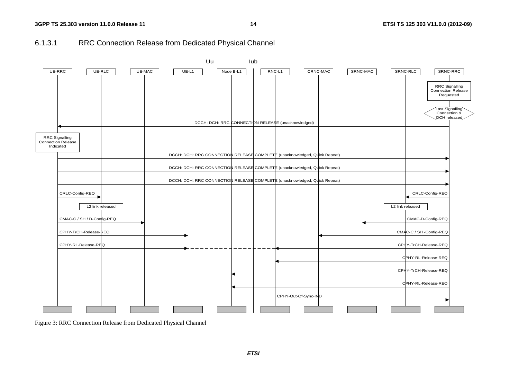### 6.1.3.1 RRC Connection Release from Dedicated Physical Channel



Figure 3: RRC Connection Release from Dedicated Physical Channel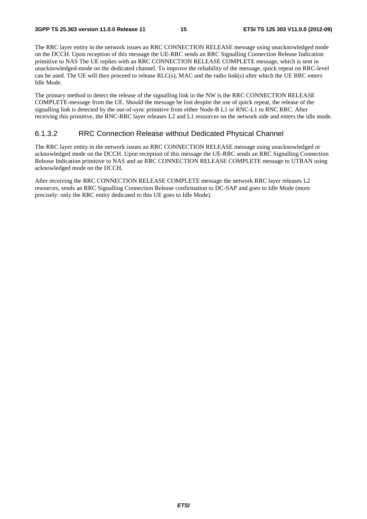The RRC layer entity in the network issues an RRC CONNECTION RELEASE message using unacknowledged mode on the DCCH. Upon reception of this message the UE-RRC sends an RRC Signalling Connection Release Indication primitive to NAS The UE replies with an RRC CONNECTION RELEASE COMPLETE message, which is sent in unacknowledged-mode on the dedicated channel. To improve the reliability of the message, quick repeat on RRC-level can be used. The UE will then proceed to release RLC(s), MAC and the radio link(s) after which the UE RRC enters Idle Mode.

The primary method to detect the release of the signalling link in the NW is the RRC CONNECTION RELEASE COMPLETE-message from the UE. Should the message be lost despite the use of quick repeat, the release of the signalling link is detected by the out-of-sync primitive from either Node-B L1 or RNC-L1 to RNC RRC. After receiving this primitive, the RNC-RRC layer releases L2 and L1 resources on the network side and enters the idle mode.

#### 6.1.3.2 RRC Connection Release without Dedicated Physical Channel

The RRC layer entity in the network issues an RRC CONNECTION RELEASE message using unacknowledged or acknowledged mode on the DCCH. Upon reception of this message the UE-RRC sends an RRC Signalling Connection Release Indication primitive to NAS and an RRC CONNECTION RELEASE COMPLETE message to UTRAN using acknowledged mode on the DCCH.

After receiving the RRC CONNECTION RELEASE COMPLETE message the network RRC layer releases L2 resources, sends an RRC Signalling Connection Release confirmation to DC-SAP and goes to Idle Mode (more precisely: only the RRC entity dedicated to this UE goes to Idle Mode).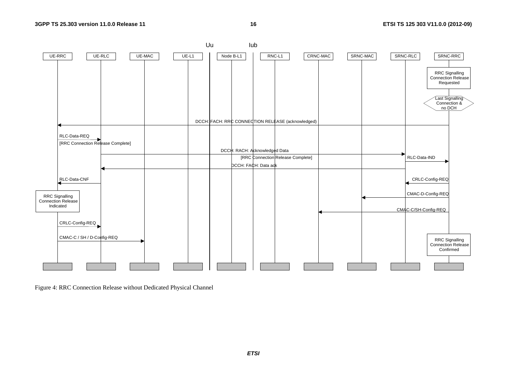**16 ETSI TS 125 303 V11.0.0 (2012-09)**



Figure 4: RRC Connection Release without Dedicated Physical Channel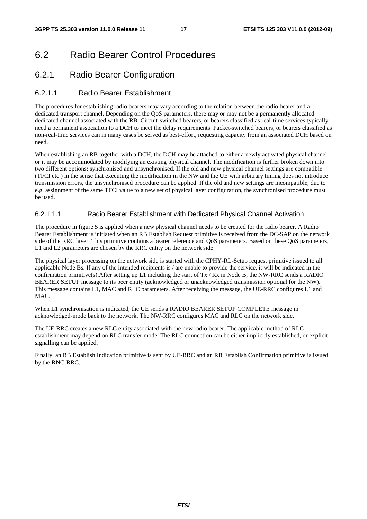## 6.2 Radio Bearer Control Procedures

### 6.2.1 Radio Bearer Configuration

#### 6.2.1.1 Radio Bearer Establishment

The procedures for establishing radio bearers may vary according to the relation between the radio bearer and a dedicated transport channel. Depending on the QoS parameters, there may or may not be a permanently allocated dedicated channel associated with the RB. Circuit-switched bearers, or bearers classified as real-time services typically need a permanent association to a DCH to meet the delay requirements. Packet-switched bearers, or bearers classified as non-real-time services can in many cases be served as best-effort, requesting capacity from an associated DCH based on need.

When establishing an RB together with a DCH, the DCH may be attached to either a newly activated physical channel or it may be accommodated by modifying an existing physical channel. The modification is further broken down into two different options: synchronised and unsynchronised. If the old and new physical channel settings are compatible (TFCI etc.) in the sense that executing the modification in the NW and the UE with arbitrary timing does not introduce transmission errors, the unsynchronised procedure can be applied. If the old and new settings are incompatible, due to e.g. assignment of the same TFCI value to a new set of physical layer configuration, the synchronised procedure must be used.

#### 6.2.1.1.1 Radio Bearer Establishment with Dedicated Physical Channel Activation

The procedure in figure 5 is applied when a new physical channel needs to be created for the radio bearer. A Radio Bearer Establishment is initiated when an RB Establish Request primitive is received from the DC-SAP on the network side of the RRC layer. This primitive contains a bearer reference and QoS parameters. Based on these QoS parameters, L1 and L2 parameters are chosen by the RRC entity on the network side.

The physical layer processing on the network side is started with the CPHY-RL-Setup request primitive issued to all applicable Node Bs. If any of the intended recipients is / are unable to provide the service, it will be indicated in the confirmation primitive(s). After setting up L1 including the start of  $Tx / Rx$  in Node B, the NW-RRC sends a RADIO BEARER SETUP message to its peer entity (acknowledged or unacknowledged transmission optional for the NW). This message contains L1, MAC and RLC parameters. After receiving the message, the UE-RRC configures L1 and MAC.

When L1 synchronisation is indicated, the UE sends a RADIO BEARER SETUP COMPLETE message in acknowledged-mode back to the network. The NW-RRC configures MAC and RLC on the network side.

The UE-RRC creates a new RLC entity associated with the new radio bearer. The applicable method of RLC establishment may depend on RLC transfer mode. The RLC connection can be either implicitly established, or explicit signalling can be applied.

Finally, an RB Establish Indication primitive is sent by UE-RRC and an RB Establish Confirmation primitive is issued by the RNC-RRC.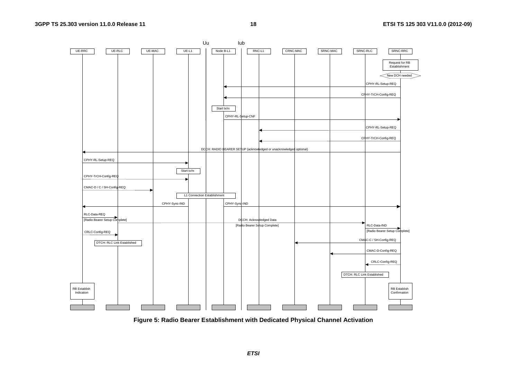

**Figure 5: Radio Bearer Establishment with Dedicated Physical Channel Activation**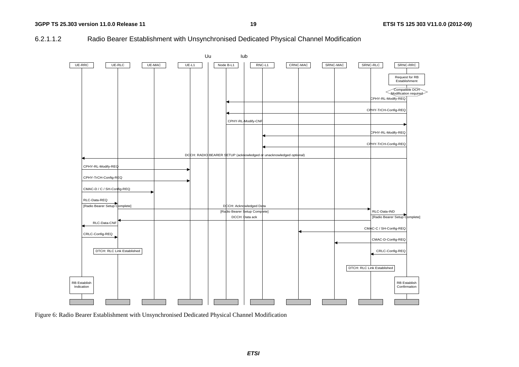#### 6.2.1.1.2 Radio Bearer Establishment with Unsynchronised Dedicated Physical Channel Modification



Figure 6: Radio Bearer Establishment with Unsynchronised Dedicated Physical Channel Modification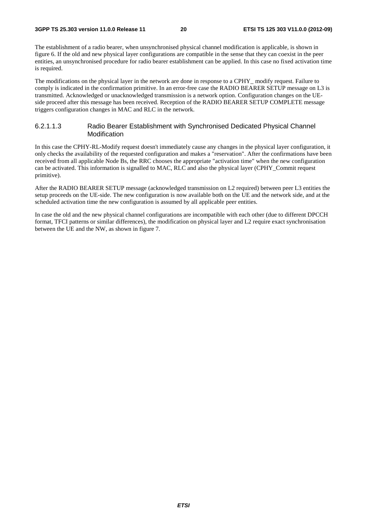The establishment of a radio bearer, when unsynchronised physical channel modification is applicable, is shown in figure 6. If the old and new physical layer configurations are compatible in the sense that they can coexist in the peer entities, an unsynchronised procedure for radio bearer establishment can be applied. In this case no fixed activation time is required.

The modifications on the physical layer in the network are done in response to a CPHY\_ modify request. Failure to comply is indicated in the confirmation primitive. In an error-free case the RADIO BEARER SETUP message on L3 is transmitted. Acknowledged or unacknowledged transmission is a network option. Configuration changes on the UEside proceed after this message has been received. Reception of the RADIO BEARER SETUP COMPLETE message triggers configuration changes in MAC and RLC in the network.

#### 6.2.1.1.3 Radio Bearer Establishment with Synchronised Dedicated Physical Channel Modification

In this case the CPHY-RL-Modify request doesn't immediately cause any changes in the physical layer configuration, it only checks the availability of the requested configuration and makes a "reservation". After the confirmations have been received from all applicable Node Bs, the RRC chooses the appropriate "activation time" when the new configuration can be activated. This information is signalled to MAC, RLC and also the physical layer (CPHY\_Commit request primitive).

After the RADIO BEARER SETUP message (acknowledged transmission on L2 required) between peer L3 entities the setup proceeds on the UE-side. The new configuration is now available both on the UE and the network side, and at the scheduled activation time the new configuration is assumed by all applicable peer entities.

In case the old and the new physical channel configurations are incompatible with each other (due to different DPCCH format, TFCI patterns or similar differences), the modification on physical layer and L2 require exact synchronisation between the UE and the NW, as shown in figure 7.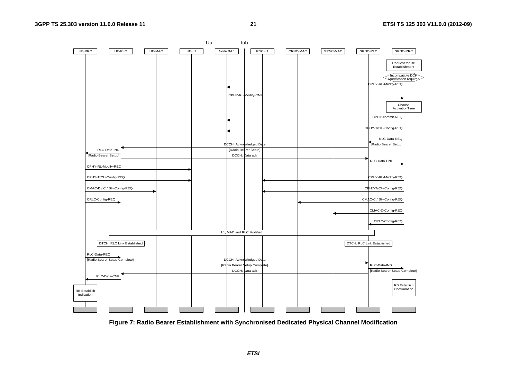

**Figure 7: Radio Bearer Establishment with Synchronised Dedicated Physical Channel Modification**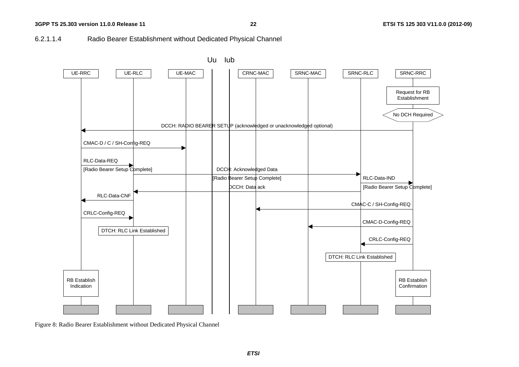#### 6.2.1.1.4 Radio Bearer Establishment without Dedicated Physical Channel



Figure 8: Radio Bearer Establishment without Dedicated Physical Channel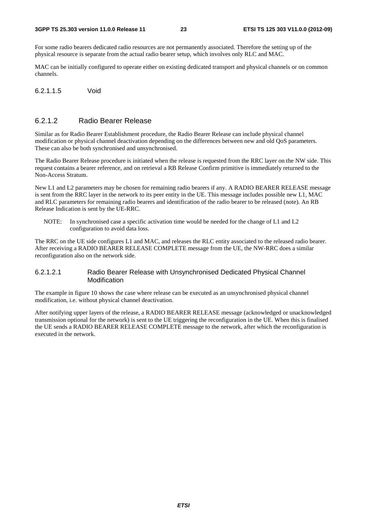For some radio bearers dedicated radio resources are not permanently associated. Therefore the setting up of the physical resource is separate from the actual radio bearer setup, which involves only RLC and MAC.

MAC can be initially configured to operate either on existing dedicated transport and physical channels or on common channels.

6.2.1.1.5 Void

#### 6.2.1.2 Radio Bearer Release

Similar as for Radio Bearer Establishment procedure, the Radio Bearer Release can include physical channel modification or physical channel deactivation depending on the differences between new and old QoS parameters. These can also be both synchronised and unsynchronised.

The Radio Bearer Release procedure is initiated when the release is requested from the RRC layer on the NW side. This request contains a bearer reference, and on retrieval a RB Release Confirm primitive is immediately returned to the Non-Access Stratum.

New L1 and L2 parameters may be chosen for remaining radio bearers if any. A RADIO BEARER RELEASE message is sent from the RRC layer in the network to its peer entity in the UE. This message includes possible new L1, MAC and RLC parameters for remaining radio bearers and identification of the radio bearer to be released (note). An RB Release Indication is sent by the UE-RRC.

NOTE: In synchronised case a specific activation time would be needed for the change of L1 and L2 configuration to avoid data loss.

The RRC on the UE side configures L1 and MAC, and releases the RLC entity associated to the released radio bearer. After receiving a RADIO BEARER RELEASE COMPLETE message from the UE, the NW-RRC does a similar reconfiguration also on the network side.

#### 6.2.1.2.1 Radio Bearer Release with Unsynchronised Dedicated Physical Channel Modification

The example in figure 10 shows the case where release can be executed as an unsynchronised physical channel modification, i.e. without physical channel deactivation.

After notifying upper layers of the release, a RADIO BEARER RELEASE message (acknowledged or unacknowledged transmission optional for the network) is sent to the UE triggering the reconfiguration in the UE. When this is finalised the UE sends a RADIO BEARER RELEASE COMPLETE message to the network, after which the reconfiguration is executed in the network.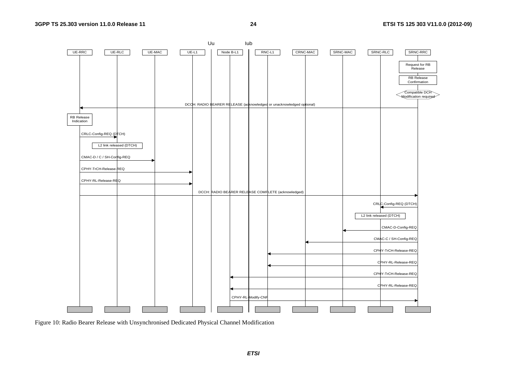

Figure 10: Radio Bearer Release with Unsynchronised Dedicated Physical Channel Modification

*ETSI*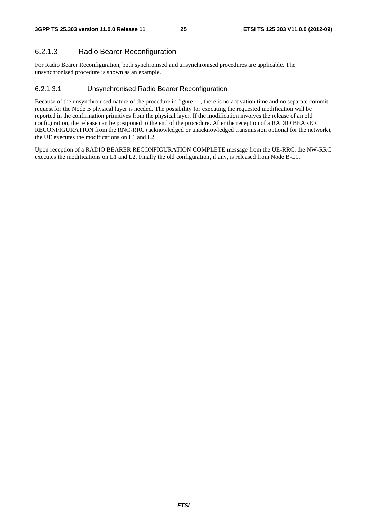#### 6.2.1.3 Radio Bearer Reconfiguration

For Radio Bearer Reconfiguration, both synchronised and unsynchronised procedures are applicable. The unsynchronised procedure is shown as an example.

#### 6.2.1.3.1 Unsynchronised Radio Bearer Reconfiguration

Because of the unsynchronised nature of the procedure in figure 11, there is no activation time and no separate commit request for the Node B physical layer is needed. The possibility for executing the requested modification will be reported in the confirmation primitives from the physical layer. If the modification involves the release of an old configuration, the release can be postponed to the end of the procedure. After the reception of a RADIO BEARER RECONFIGURATION from the RNC-RRC (acknowledged or unacknowledged transmission optional for the network), the UE executes the modifications on L1 and L2.

Upon reception of a RADIO BEARER RECONFIGURATION COMPLETE message from the UE-RRC, the NW-RRC executes the modifications on L1 and L2. Finally the old configuration, if any, is released from Node B-L1.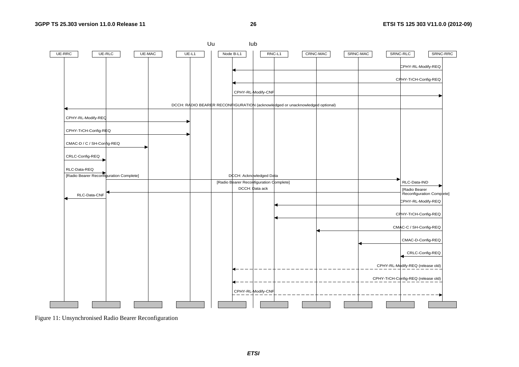**26 ETSI TS 125 303 V11.0.0 (2012-09)**



Figure 11: Unsynchronised Radio Bearer Reconfiguration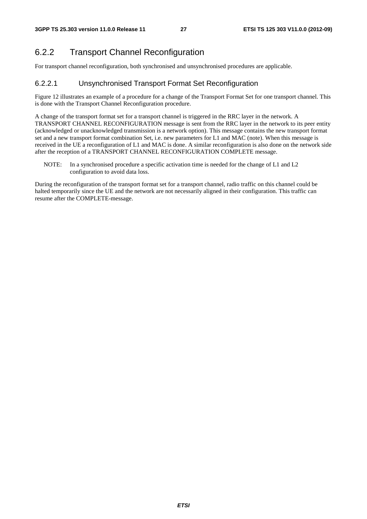## 6.2.2 Transport Channel Reconfiguration

For transport channel reconfiguration, both synchronised and unsynchronised procedures are applicable.

### 6.2.2.1 Unsynchronised Transport Format Set Reconfiguration

Figure 12 illustrates an example of a procedure for a change of the Transport Format Set for one transport channel. This is done with the Transport Channel Reconfiguration procedure.

A change of the transport format set for a transport channel is triggered in the RRC layer in the network. A TRANSPORT CHANNEL RECONFIGURATION message is sent from the RRC layer in the network to its peer entity (acknowledged or unacknowledged transmission is a network option). This message contains the new transport format set and a new transport format combination Set, i.e. new parameters for L1 and MAC (note). When this message is received in the UE a reconfiguration of L1 and MAC is done. A similar reconfiguration is also done on the network side after the reception of a TRANSPORT CHANNEL RECONFIGURATION COMPLETE message.

NOTE: In a synchronised procedure a specific activation time is needed for the change of L1 and L2 configuration to avoid data loss.

During the reconfiguration of the transport format set for a transport channel, radio traffic on this channel could be halted temporarily since the UE and the network are not necessarily aligned in their configuration. This traffic can resume after the COMPLETE-message.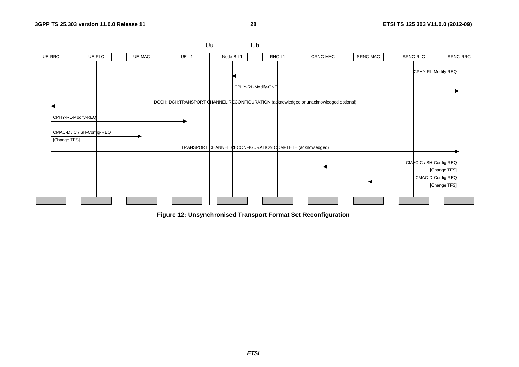**28 ETSI TS 125 303 V11.0.0 (2012-09)**



**Figure 12: Unsynchronised Transport Format Set Reconfiguration**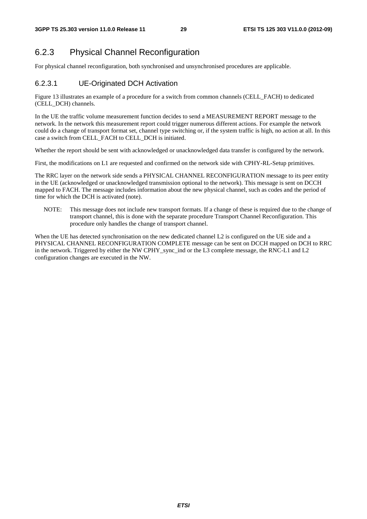### 6.2.3 Physical Channel Reconfiguration

For physical channel reconfiguration, both synchronised and unsynchronised procedures are applicable.

#### 6.2.3.1 UE-Originated DCH Activation

Figure 13 illustrates an example of a procedure for a switch from common channels (CELL\_FACH) to dedicated (CELL\_DCH) channels.

In the UE the traffic volume measurement function decides to send a MEASUREMENT REPORT message to the network. In the network this measurement report could trigger numerous different actions. For example the network could do a change of transport format set, channel type switching or, if the system traffic is high, no action at all. In this case a switch from CELL\_FACH to CELL\_DCH is initiated.

Whether the report should be sent with acknowledged or unacknowledged data transfer is configured by the network.

First, the modifications on L1 are requested and confirmed on the network side with CPHY-RL-Setup primitives.

The RRC layer on the network side sends a PHYSICAL CHANNEL RECONFIGURATION message to its peer entity in the UE (acknowledged or unacknowledged transmission optional to the network). This message is sent on DCCH mapped to FACH. The message includes information about the new physical channel, such as codes and the period of time for which the DCH is activated (note).

NOTE: This message does not include new transport formats. If a change of these is required due to the change of transport channel, this is done with the separate procedure Transport Channel Reconfiguration. This procedure only handles the change of transport channel.

When the UE has detected synchronisation on the new dedicated channel L2 is configured on the UE side and a PHYSICAL CHANNEL RECONFIGURATION COMPLETE message can be sent on DCCH mapped on DCH to RRC in the network. Triggered by either the NW CPHY sync ind or the L3 complete message, the RNC-L1 and L2 configuration changes are executed in the NW.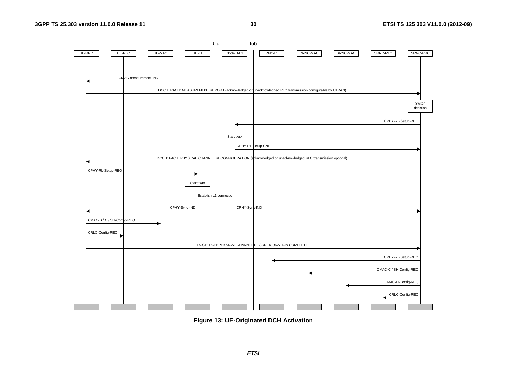



*ETSI*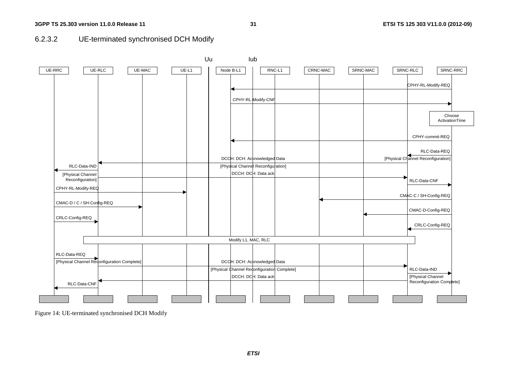**31 ETSI TS 125 303 V11.0.0 (2012-09)**





Figure 14: UE-terminated synchronised DCH Modify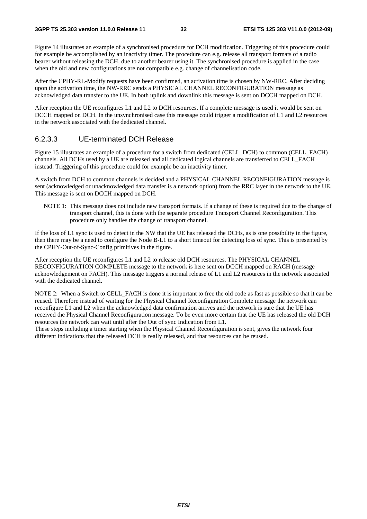Figure 14 illustrates an example of a synchronised procedure for DCH modification. Triggering of this procedure could for example be accomplished by an inactivity timer. The procedure can e.g. release all transport formats of a radio bearer without releasing the DCH, due to another bearer using it. The synchronised procedure is applied in the case when the old and new configurations are not compatible e.g. change of channelisation code.

After the CPHY-RL-Modify requests have been confirmed, an activation time is chosen by NW-RRC. After deciding upon the activation time, the NW-RRC sends a PHYSICAL CHANNEL RECONFIGURATION message as acknowledged data transfer to the UE. In both uplink and downlink this message is sent on DCCH mapped on DCH.

After reception the UE reconfigures L1 and L2 to DCH resources. If a complete message is used it would be sent on DCCH mapped on DCH. In the unsynchronised case this message could trigger a modification of L1 and L2 resources in the network associated with the dedicated channel.

#### 6.2.3.3 UE-terminated DCH Release

Figure 15 illustrates an example of a procedure for a switch from dedicated (CELL\_DCH) to common (CELL\_FACH) channels. All DCHs used by a UE are released and all dedicated logical channels are transferred to CELL\_FACH instead. Triggering of this procedure could for example be an inactivity timer.

A switch from DCH to common channels is decided and a PHYSICAL CHANNEL RECONFIGURATION message is sent (acknowledged or unacknowledged data transfer is a network option) from the RRC layer in the network to the UE. This message is sent on DCCH mapped on DCH.

NOTE 1: This message does not include new transport formats. If a change of these is required due to the change of transport channel, this is done with the separate procedure Transport Channel Reconfiguration. This procedure only handles the change of transport channel.

If the loss of L1 sync is used to detect in the NW that the UE has released the DCHs, as is one possibility in the figure, then there may be a need to configure the Node B-L1 to a short timeout for detecting loss of sync. This is presented by the CPHY-Out-of-Sync-Config primitives in the figure.

After reception the UE reconfigures L1 and L2 to release old DCH resources. The PHYSICAL CHANNEL RECONFIGURATION COMPLETE message to the network is here sent on DCCH mapped on RACH (message acknowledgement on FACH). This message triggers a normal release of L1 and L2 resources in the network associated with the dedicated channel.

NOTE 2: When a Switch to CELL\_FACH is done it is important to free the old code as fast as possible so that it can be reused. Therefore instead of waiting for the Physical Channel Reconfiguration Complete message the network can reconfigure L1 and L2 when the acknowledged data confirmation arrives and the network is sure that the UE has received the Physical Channel Reconfiguration message. To be even more certain that the UE has released the old DCH resources the network can wait until after the Out of sync Indication from L1.

These steps including a timer starting when the Physical Channel Reconfiguration is sent, gives the network four different indications that the released DCH is really released, and that resources can be reused.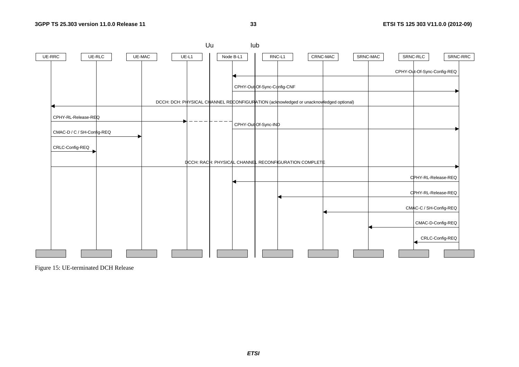**33 ETSI TS 125 303 V11.0.0 (2012-09)**



Figure 15: UE-terminated DCH Release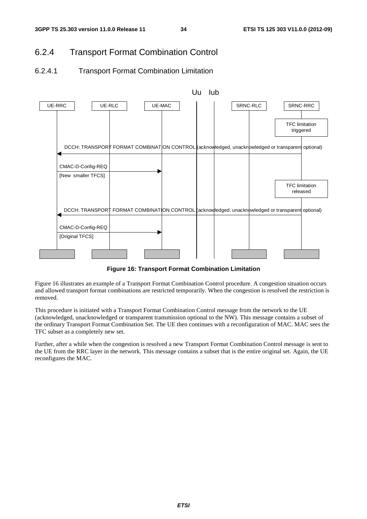### 6.2.4 Transport Format Combination Control

### 6.2.4.1 Transport Format Combination Limitation



**Figure 16: Transport Format Combination Limitation** 

Figure 16 illustrates an example of a Transport Format Combination Control procedure. A congestion situation occurs and allowed transport format combinations are restricted temporarily. When the congestion is resolved the restriction is removed.

This procedure is initiated with a Transport Format Combination Control message from the network to the UE (acknowledged, unacknowledged or transparent transmission optional to the NW). This message contains a subset of the ordinary Transport Format Combination Set. The UE then continues with a reconfiguration of MAC. MAC sees the TFC subset as a completely new set.

Further, after a while when the congestion is resolved a new Transport Format Combination Control message is sent to the UE from the RRC layer in the network. This message contains a subset that is the entire original set. Again, the UE reconfigures the MAC.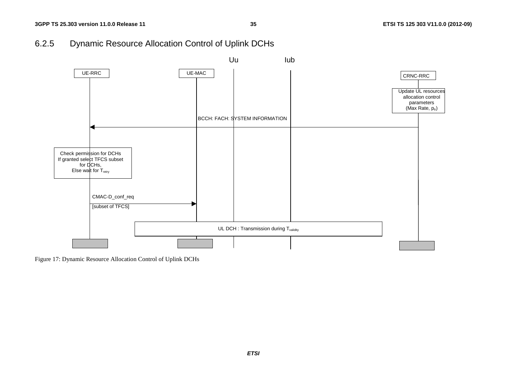## 6.2.5 Dynamic Resource Allocation Control of Uplink DCHs



Figure 17: Dynamic Resource Allocation Control of Uplink DCHs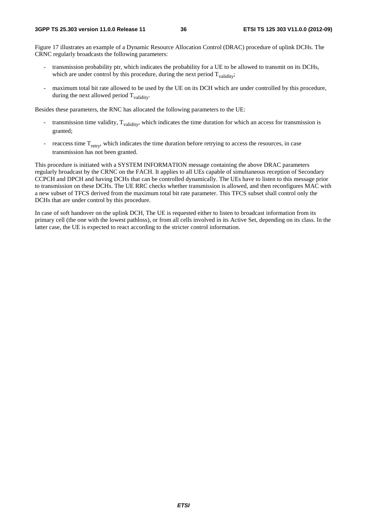Figure 17 illustrates an example of a Dynamic Resource Allocation Control (DRAC) procedure of uplink DCHs. The CRNC regularly broadcasts the following parameters:

- transmission probability ptr, which indicates the probability for a UE to be allowed to transmit on its DCHs, which are under control by this procedure, during the next period  $T_{validity}$ ;
- maximum total bit rate allowed to be used by the UE on its DCH which are under controlled by this procedure, during the next allowed period  $T_{validity}$ .

Besides these parameters, the RNC has allocated the following parameters to the UE:

- transmission time validity,  $T_{validity}$ , which indicates the time duration for which an access for transmission is granted;
- reaccess time  $T_{\text{retrv}}$ , which indicates the time duration before retrying to access the resources, in case transmission has not been granted.

This procedure is initiated with a SYSTEM INFORMATION message containing the above DRAC parameters regularly broadcast by the CRNC on the FACH. It applies to all UEs capable of simultaneous reception of Secondary CCPCH and DPCH and having DCHs that can be controlled dynamically. The UEs have to listen to this message prior to transmission on these DCHs. The UE RRC checks whether transmission is allowed, and then reconfigures MAC with a new subset of TFCS derived from the maximum total bit rate parameter. This TFCS subset shall control only the DCHs that are under control by this procedure.

In case of soft handover on the uplink DCH, The UE is requested either to listen to broadcast information from its primary cell (the one with the lowest pathloss), or from all cells involved in its Active Set, depending on its class. In the latter case, the UE is expected to react according to the stricter control information.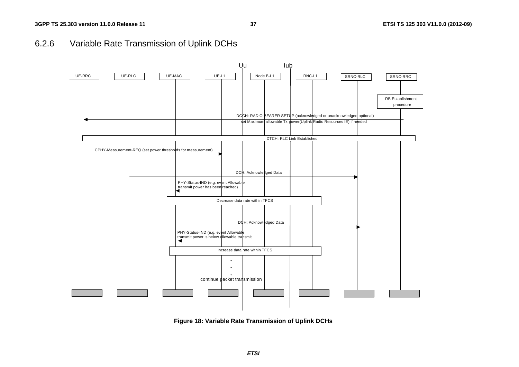# 6.2.6 Variable Rate Transmission of Uplink DCHs



**Figure 18: Variable Rate Transmission of Uplink DCHs**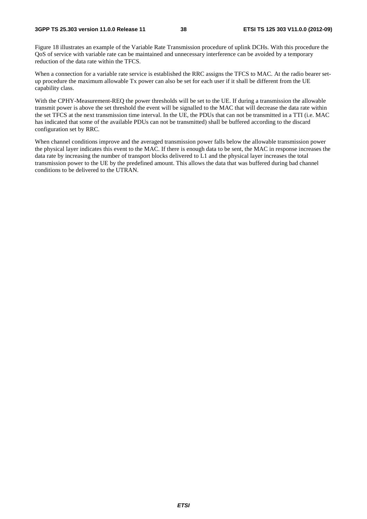Figure 18 illustrates an example of the Variable Rate Transmission procedure of uplink DCHs. With this procedure the QoS of service with variable rate can be maintained and unnecessary interference can be avoided by a temporary reduction of the data rate within the TFCS.

When a connection for a variable rate service is established the RRC assigns the TFCS to MAC. At the radio bearer setup procedure the maximum allowable Tx power can also be set for each user if it shall be different from the UE capability class.

With the CPHY-Measurement-REQ the power thresholds will be set to the UE. If during a transmission the allowable transmit power is above the set threshold the event will be signalled to the MAC that will decrease the data rate within the set TFCS at the next transmission time interval. In the UE, the PDUs that can not be transmitted in a TTI (i.e. MAC has indicated that some of the available PDUs can not be transmitted) shall be buffered according to the discard configuration set by RRC.

When channel conditions improve and the averaged transmission power falls below the allowable transmission power the physical layer indicates this event to the MAC. If there is enough data to be sent, the MAC in response increases the data rate by increasing the number of transport blocks delivered to L1 and the physical layer increases the total transmission power to the UE by the predefined amount. This allows the data that was buffered during bad channel conditions to be delivered to the UTRAN.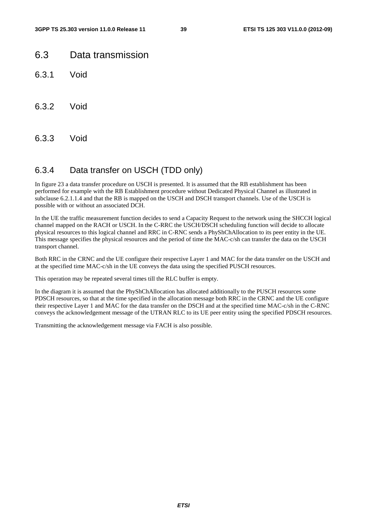# 6.3 Data transmission

- 6.3.1 Void
- 6.3.2 Void
- 6.3.3 Void

## 6.3.4 Data transfer on USCH (TDD only)

In figure 23 a data transfer procedure on USCH is presented. It is assumed that the RB establishment has been performed for example with the RB Establishment procedure without Dedicated Physical Channel as illustrated in subclause 6.2.1.1.4 and that the RB is mapped on the USCH and DSCH transport channels. Use of the USCH is possible with or without an associated DCH.

In the UE the traffic measurement function decides to send a Capacity Request to the network using the SHCCH logical channel mapped on the RACH or USCH. In the C-RRC the USCH/DSCH scheduling function will decide to allocate physical resources to this logical channel and RRC in C-RNC sends a PhyShChAllocation to its peer entity in the UE. This message specifies the physical resources and the period of time the MAC-c/sh can transfer the data on the USCH transport channel.

Both RRC in the CRNC and the UE configure their respective Layer 1 and MAC for the data transfer on the USCH and at the specified time MAC-c/sh in the UE conveys the data using the specified PUSCH resources.

This operation may be repeated several times till the RLC buffer is empty.

In the diagram it is assumed that the PhyShChAllocation has allocated additionally to the PUSCH resources some PDSCH resources, so that at the time specified in the allocation message both RRC in the CRNC and the UE configure their respective Layer 1 and MAC for the data transfer on the DSCH and at the specified time MAC-c/sh in the C-RNC conveys the acknowledgement message of the UTRAN RLC to its UE peer entity using the specified PDSCH resources.

Transmitting the acknowledgement message via FACH is also possible.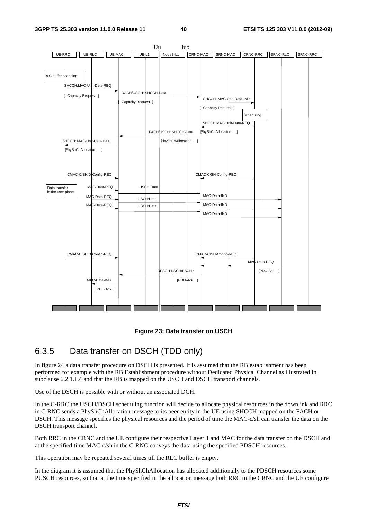



# 6.3.5 Data transfer on DSCH (TDD only)

In figure 24 a data transfer procedure on DSCH is presented. It is assumed that the RB establishment has been performed for example with the RB Establishment procedure without Dedicated Physical Channel as illustrated in subclause 6.2.1.1.4 and that the RB is mapped on the USCH and DSCH transport channels.

Use of the DSCH is possible with or without an associated DCH.

In the C-RRC the USCH/DSCH scheduling function will decide to allocate physical resources in the downlink and RRC in C-RNC sends a PhyShChAllocation message to its peer entity in the UE using SHCCH mapped on the FACH or DSCH. This message specifies the physical resources and the period of time the MAC-c/sh can transfer the data on the DSCH transport channel.

Both RRC in the CRNC and the UE configure their respective Layer 1 and MAC for the data transfer on the DSCH and at the specified time MAC-c/sh in the C-RNC conveys the data using the specified PDSCH resources.

This operation may be repeated several times till the RLC buffer is empty.

In the diagram it is assumed that the PhyShChAllocation has allocated additionally to the PDSCH resources some PUSCH resources, so that at the time specified in the allocation message both RRC in the CRNC and the UE configure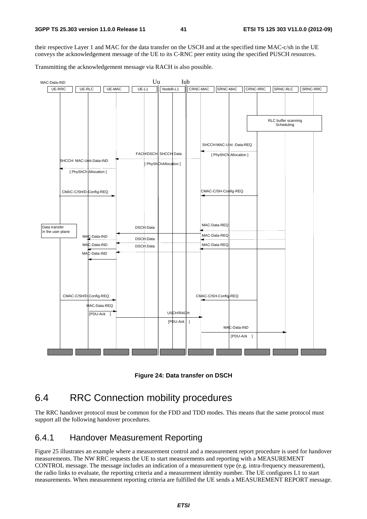their respective Layer 1 and MAC for the data transfer on the USCH and at the specified time MAC-c/sh in the UE conveys the acknowledgement message of the UE to its C-RNC peer entity using the specified PUSCH resources.

Transmitting the acknowledgement message via RACH is also possible.



**Figure 24: Data transfer on DSCH** 

# 6.4 RRC Connection mobility procedures

The RRC handover protocol must be common for the FDD and TDD modes. This means that the same protocol must support all the following handover procedures.

## 6.4.1 Handover Measurement Reporting

Figure 25 illustrates an example where a measurement control and a measurement report procedure is used for handover measurements. The NW RRC requests the UE to start measurements and reporting with a MEASUREMENT CONTROL message. The message includes an indication of a measurement type (e.g. intra-frequency measurement), the radio links to evaluate, the reporting criteria and a measurement identity number. The UE configures L1 to start measurements. When measurement reporting criteria are fulfilled the UE sends a MEASUREMENT REPORT message.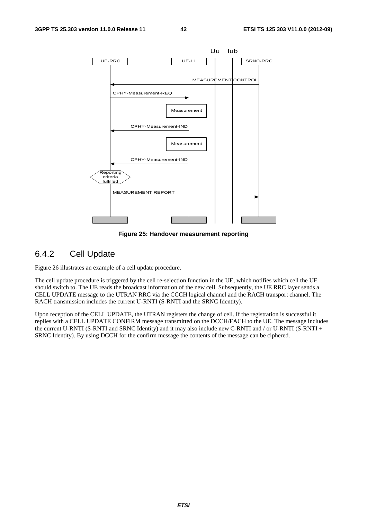

**Figure 25: Handover measurement reporting** 

#### 6.4.2 Cell Update

Figure 26 illustrates an example of a cell update procedure.

The cell update procedure is triggered by the cell re-selection function in the UE, which notifies which cell the UE should switch to. The UE reads the broadcast information of the new cell. Subsequently, the UE RRC layer sends a CELL UPDATE message to the UTRAN RRC via the CCCH logical channel and the RACH transport channel. The RACH transmission includes the current U-RNTI (S-RNTI and the SRNC Identity).

Upon reception of the CELL UPDATE, the UTRAN registers the change of cell. If the registration is successful it replies with a CELL UPDATE CONFIRM message transmitted on the DCCH/FACH to the UE. The message includes the current U-RNTI (S-RNTI and SRNC Identity) and it may also include new C-RNTI and / or U-RNTI (S-RNTI + SRNC Identity). By using DCCH for the confirm message the contents of the message can be ciphered.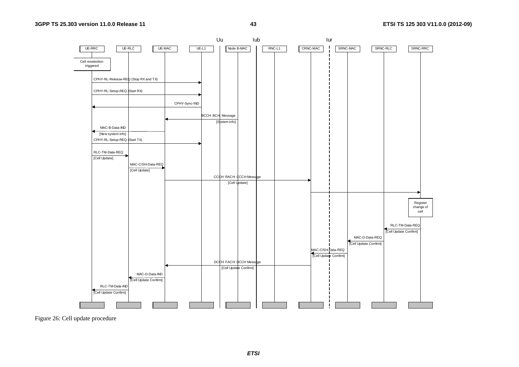

Figure 26: Cell update procedure

*ETSI*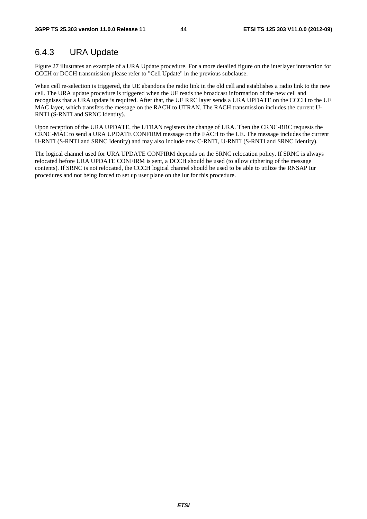# 6.4.3 URA Update

Figure 27 illustrates an example of a URA Update procedure. For a more detailed figure on the interlayer interaction for CCCH or DCCH transmission please refer to "Cell Update" in the previous subclause.

When cell re-selection is triggered, the UE abandons the radio link in the old cell and establishes a radio link to the new cell. The URA update procedure is triggered when the UE reads the broadcast information of the new cell and recognises that a URA update is required. After that, the UE RRC layer sends a URA UPDATE on the CCCH to the UE MAC layer, which transfers the message on the RACH to UTRAN. The RACH transmission includes the current U-RNTI (S-RNTI and SRNC Identity).

Upon reception of the URA UPDATE, the UTRAN registers the change of URA. Then the CRNC-RRC requests the CRNC-MAC to send a URA UPDATE CONFIRM message on the FACH to the UE. The message includes the current U-RNTI (S-RNTI and SRNC Identity) and may also include new C-RNTI, U-RNTI (S-RNTI and SRNC Identity).

The logical channel used for URA UPDATE CONFIRM depends on the SRNC relocation policy. If SRNC is always relocated before URA UPDATE CONFIRM is sent, a DCCH should be used (to allow ciphering of the message contents). If SRNC is not relocated, the CCCH logical channel should be used to be able to utilize the RNSAP Iur procedures and not being forced to set up user plane on the Iur for this procedure.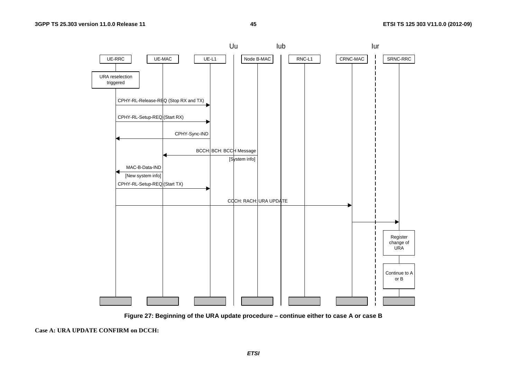



**Case A: URA UPDATE CONFIRM on DCCH:** 

*ETSI*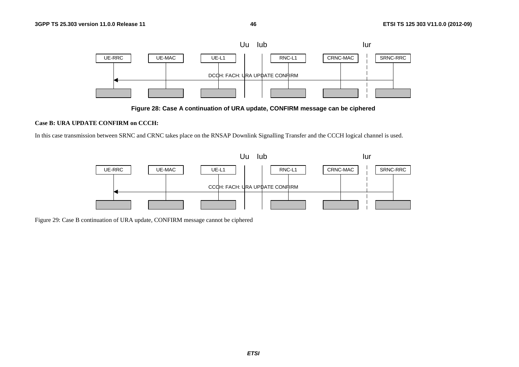

**Figure 28: Case A continuation of URA update, CONFIRM message can be ciphered** 

#### **Case B: URA UPDATE CONFIRM on CCCH:**

In this case transmission between SRNC and CRNC takes place on the RNSAP Downlink Signalling Transfer and the CCCH logical channel is used.



Figure 29: Case B continuation of URA update, CONFIRM message cannot be ciphered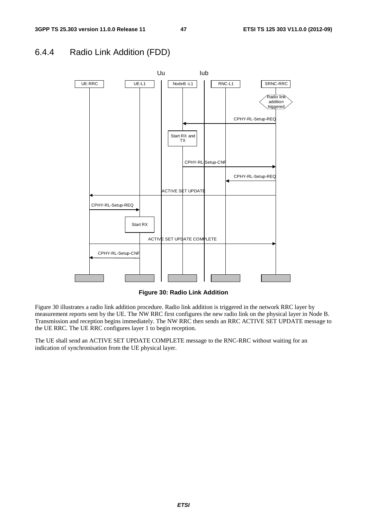## 6.4.4 Radio Link Addition (FDD)



**Figure 30: Radio Link Addition**

Figure 30 illustrates a radio link addition procedure. Radio link addition is triggered in the network RRC layer by measurement reports sent by the UE. The NW RRC first configures the new radio link on the physical layer in Node B. Transmission and reception begins immediately. The NW RRC then sends an RRC ACTIVE SET UPDATE message to the UE RRC. The UE RRC configures layer 1 to begin reception.

The UE shall send an ACTIVE SET UPDATE COMPLETE message to the RNC-RRC without waiting for an indication of synchronisation from the UE physical layer.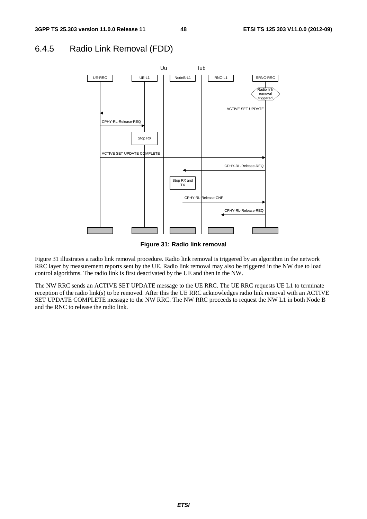## 6.4.5 Radio Link Removal (FDD)



**Figure 31: Radio link removal** 

Figure 31 illustrates a radio link removal procedure. Radio link removal is triggered by an algorithm in the network RRC layer by measurement reports sent by the UE. Radio link removal may also be triggered in the NW due to load control algorithms. The radio link is first deactivated by the UE and then in the NW.

The NW RRC sends an ACTIVE SET UPDATE message to the UE RRC. The UE RRC requests UE L1 to terminate reception of the radio link(s) to be removed. After this the UE RRC acknowledges radio link removal with an ACTIVE SET UPDATE COMPLETE message to the NW RRC. The NW RRC proceeds to request the NW L1 in both Node B and the RNC to release the radio link.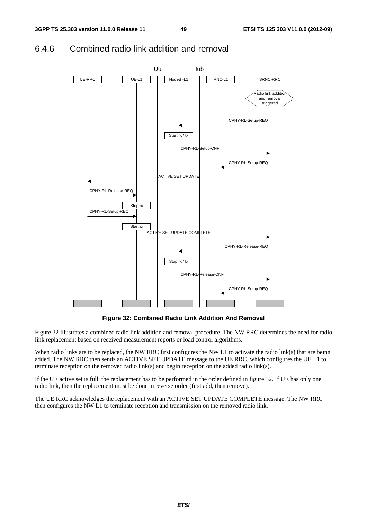

# 6.4.6 Combined radio link addition and removal

**Figure 32: Combined Radio Link Addition And Removal** 

Figure 32 illustrates a combined radio link addition and removal procedure. The NW RRC determines the need for radio link replacement based on received measurement reports or load control algorithms.

When radio links are to be replaced, the NW RRC first configures the NW L1 to activate the radio link(s) that are being added. The NW RRC then sends an ACTIVE SET UPDATE message to the UE RRC, which configures the UE L1 to terminate reception on the removed radio link(s) and begin reception on the added radio link(s).

If the UE active set is full, the replacement has to be performed in the order defined in figure 32. If UE has only one radio link, then the replacement must be done in reverse order (first add, then remove).

The UE RRC acknowledges the replacement with an ACTIVE SET UPDATE COMPLETE message. The NW RRC then configures the NW L1 to terminate reception and transmission on the removed radio link.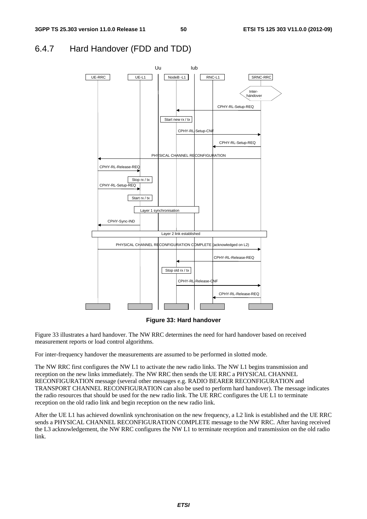## 6.4.7 Hard Handover (FDD and TDD)



#### **Figure 33: Hard handover**

Figure 33 illustrates a hard handover. The NW RRC determines the need for hard handover based on received measurement reports or load control algorithms.

For inter-frequency handover the measurements are assumed to be performed in slotted mode.

The NW RRC first configures the NW L1 to activate the new radio links. The NW L1 begins transmission and reception on the new links immediately. The NW RRC then sends the UE RRC a PHYSICAL CHANNEL RECONFIGURATION message (several other messages e.g. RADIO BEARER RECONFIGURATION and TRANSPORT CHANNEL RECONFIGURATION can also be used to perform hard handover). The message indicates the radio resources that should be used for the new radio link. The UE RRC configures the UE L1 to terminate reception on the old radio link and begin reception on the new radio link.

After the UE L1 has achieved downlink synchronisation on the new frequency, a L2 link is established and the UE RRC sends a PHYSICAL CHANNEL RECONFIGURATION COMPLETE message to the NW RRC. After having received the L3 acknowledgement, the NW RRC configures the NW L1 to terminate reception and transmission on the old radio link.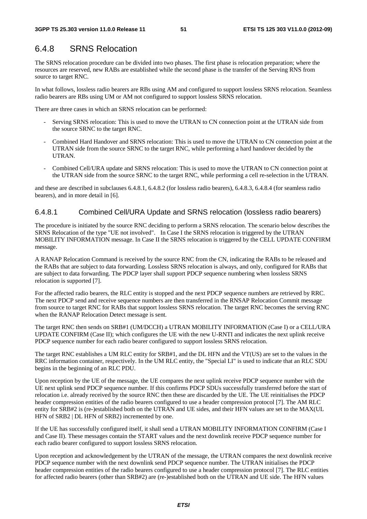## 6.4.8 SRNS Relocation

The SRNS relocation procedure can be divided into two phases. The first phase is relocation preparation; where the resources are reserved, new RABs are established while the second phase is the transfer of the Serving RNS from source to target RNC.

In what follows, lossless radio bearers are RBs using AM and configured to support lossless SRNS relocation. Seamless radio bearers are RBs using UM or AM not configured to support lossless SRNS relocation.

There are three cases in which an SRNS relocation can be performed:

- Serving SRNS relocation: This is used to move the UTRAN to CN connection point at the UTRAN side from the source SRNC to the target RNC.
- Combined Hard Handover and SRNS relocation: This is used to move the UTRAN to CN connection point at the UTRAN side from the source SRNC to the target RNC, while performing a hard handover decided by the UTRAN.
- Combined Cell/URA update and SRNS relocation: This is used to move the UTRAN to CN connection point at the UTRAN side from the source SRNC to the target RNC, while performing a cell re-selection in the UTRAN.

and these are described in subclauses 6.4.8.1, 6.4.8.2 (for lossless radio bearers), 6.4.8.3, 6.4.8.4 (for seamless radio bearers), and in more detail in [6].

#### 6.4.8.1 Combined Cell/URA Update and SRNS relocation (lossless radio bearers)

The procedure is initiated by the source RNC deciding to perform a SRNS relocation. The scenario below describes the SRNS Relocation of the type "UE not involved". In Case I the SRNS relocation is triggered by the UTRAN MOBILITY INFORMATION message. In Case II the SRNS relocation is triggered by the CELL UPDATE CONFIRM message.

A RANAP Relocation Command is received by the source RNC from the CN, indicating the RABs to be released and the RABs that are subject to data forwarding. Lossless SRNS relocation is always, and only, configured for RABs that are subject to data forwarding. The PDCP layer shall support PDCP sequence numbering when lossless SRNS relocation is supported [7].

For the affected radio bearers, the RLC entity is stopped and the next PDCP sequence numbers are retrieved by RRC. The next PDCP send and receive sequence numbers are then transferred in the RNSAP Relocation Commit message from source to target RNC for RABs that support lossless SRNS relocation. The target RNC becomes the serving RNC when the RANAP Relocation Detect message is sent.

The target RNC then sends on SRB#1 (UM/DCCH) a UTRAN MOBILITY INFORMATION (Case I) or a CELL/URA UPDATE CONFIRM (Case II); which configures the UE with the new U-RNTI and indicates the next uplink receive PDCP sequence number for each radio bearer configured to support lossless SRNS relocation.

The target RNC establishes a UM RLC entity for SRB#1, and the DL HFN and the VT(US) are set to the values in the RRC information container, respectively. In the UM RLC entity, the "Special LI" is used to indicate that an RLC SDU begins in the beginning of an RLC PDU.

Upon reception by the UE of the message, the UE compares the next uplink receive PDCP sequence number with the UE next uplink send PDCP sequence number. If this confirms PDCP SDUs successfully transferred before the start of relocation i.e. already received by the source RNC then these are discarded by the UE. The UE reinitialises the PDCP header compression entities of the radio bearers configured to use a header compression protocol [7]. The AM RLC entity for SRB#2 is (re-)established both on the UTRAN and UE sides, and their HFN values are set to the MAX(UL HFN of SRB2 | DL HFN of SRB2) incremented by one.

If the UE has successfully configured itself, it shall send a UTRAN MOBILITY INFORMATION CONFIRM (Case I and Case II). These messages contain the START values and the next downlink receive PDCP sequence number for each radio bearer configured to support lossless SRNS relocation.

Upon reception and acknowledgement by the UTRAN of the message, the UTRAN compares the next downlink receive PDCP sequence number with the next downlink send PDCP sequence number. The UTRAN initialises the PDCP header compression entities of the radio bearers configured to use a header compression protocol [7]. The RLC entities for affected radio bearers (other than SRB#2) are (re-)established both on the UTRAN and UE side. The HFN values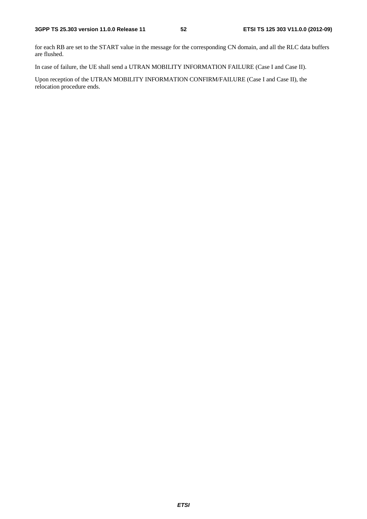for each RB are set to the START value in the message for the corresponding CN domain, and all the RLC data buffers are flushed.

In case of failure, the UE shall send a UTRAN MOBILITY INFORMATION FAILURE (Case I and Case II).

Upon reception of the UTRAN MOBILITY INFORMATION CONFIRM/FAILURE (Case I and Case II), the relocation procedure ends.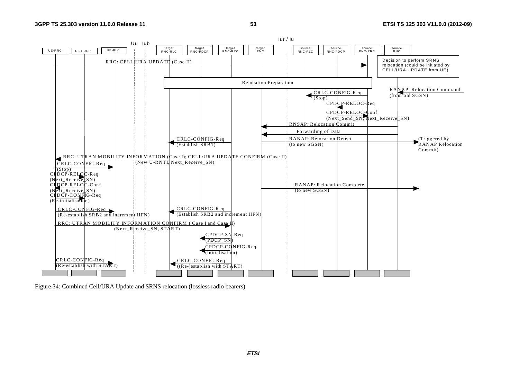

Figure 34: Combined Cell/URA Update and SRNS relocation (lossless radio bearers)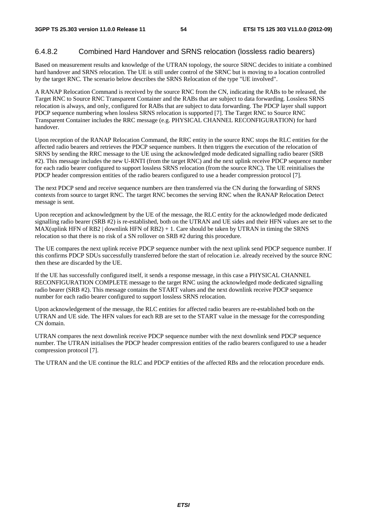#### 6.4.8.2 Combined Hard Handover and SRNS relocation (lossless radio bearers)

Based on measurement results and knowledge of the UTRAN topology, the source SRNC decides to initiate a combined hard handover and SRNS relocation. The UE is still under control of the SRNC but is moving to a location controlled by the target RNC. The scenario below describes the SRNS Relocation of the type "UE involved".

A RANAP Relocation Command is received by the source RNC from the CN, indicating the RABs to be released, the Target RNC to Source RNC Transparent Container and the RABs that are subject to data forwarding. Lossless SRNS relocation is always, and only, configured for RABs that are subject to data forwarding. The PDCP layer shall support PDCP sequence numbering when lossless SRNS relocation is supported [7]. The Target RNC to Source RNC Transparent Container includes the RRC message (e.g. PHYSICAL CHANNEL RECONFIGURATION) for hard handover.

Upon reception of the RANAP Relocation Command, the RRC entity in the source RNC stops the RLC entities for the affected radio bearers and retrieves the PDCP sequence numbers. It then triggers the execution of the relocation of SRNS by sending the RRC message to the UE using the acknowledged mode dedicated signalling radio bearer (SRB #2). This message includes the new U-RNTI (from the target RNC) and the next uplink receive PDCP sequence number for each radio bearer configured to support lossless SRNS relocation (from the source RNC). The UE reinitialises the PDCP header compression entities of the radio bearers configured to use a header compression protocol [7].

The next PDCP send and receive sequence numbers are then transferred via the CN during the forwarding of SRNS contexts from source to target RNC. The target RNC becomes the serving RNC when the RANAP Relocation Detect message is sent.

Upon reception and acknowledgment by the UE of the message, the RLC entity for the acknowledged mode dedicated signalling radio bearer (SRB #2) is re-established, both on the UTRAN and UE sides and their HFN values are set to the MAX(uplink HFN of RB2 | downlink HFN of RB2) + 1. Care should be taken by UTRAN in timing the SRNS relocation so that there is no risk of a SN rollover on SRB #2 during this procedure.

The UE compares the next uplink receive PDCP sequence number with the next uplink send PDCP sequence number. If this confirms PDCP SDUs successfully transferred before the start of relocation i.e. already received by the source RNC then these are discarded by the UE.

If the UE has successfully configured itself, it sends a response message, in this case a PHYSICAL CHANNEL RECONFIGURATION COMPLETE message to the target RNC using the acknowledged mode dedicated signalling radio bearer (SRB #2). This message contains the START values and the next downlink receive PDCP sequence number for each radio bearer configured to support lossless SRNS relocation.

Upon acknowledgement of the message, the RLC entities for affected radio bearers are re-established both on the UTRAN and UE side. The HFN values for each RB are set to the START value in the message for the corresponding CN domain.

UTRAN compares the next downlink receive PDCP sequence number with the next downlink send PDCP sequence number. The UTRAN initialises the PDCP header compression entities of the radio bearers configured to use a header compression protocol [7].

The UTRAN and the UE continue the RLC and PDCP entities of the affected RBs and the relocation procedure ends.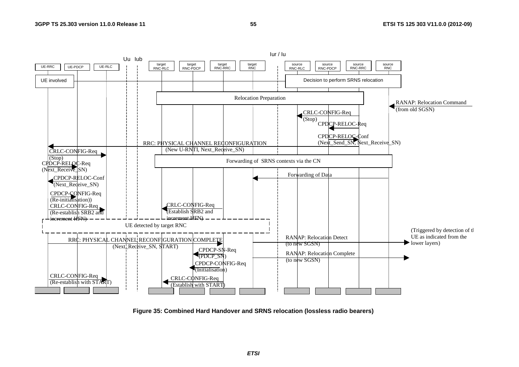

**Figure 35: Combined Hard Handover and SRNS relocation (lossless radio bearers)** 

*ETSI*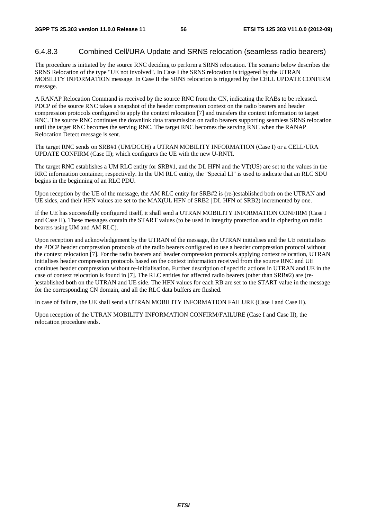#### 6.4.8.3 Combined Cell/URA Update and SRNS relocation (seamless radio bearers)

The procedure is initiated by the source RNC deciding to perform a SRNS relocation. The scenario below describes the SRNS Relocation of the type "UE not involved". In Case I the SRNS relocation is triggered by the UTRAN MOBILITY INFORMATION message. In Case II the SRNS relocation is triggered by the CELL UPDATE CONFIRM message.

A RANAP Relocation Command is received by the source RNC from the CN, indicating the RABs to be released. PDCP of the source RNC takes a snapshot of the header compression context on the radio bearers and header compression protocols configured to apply the context relocation [7] and transfers the context information to target RNC. The source RNC continues the downlink data transmission on radio bearers supporting seamless SRNS relocation until the target RNC becomes the serving RNC. The target RNC becomes the serving RNC when the RANAP Relocation Detect message is sent.

The target RNC sends on SRB#1 (UM/DCCH) a UTRAN MOBILITY INFORMATION (Case I) or a CELL/URA UPDATE CONFIRM (Case II); which configures the UE with the new U-RNTI.

The target RNC establishes a UM RLC entity for SRB#1, and the DL HFN and the VT(US) are set to the values in the RRC information container, respectively. In the UM RLC entity, the "Special LI" is used to indicate that an RLC SDU begins in the beginning of an RLC PDU.

Upon reception by the UE of the message, the AM RLC entity for SRB#2 is (re-)established both on the UTRAN and UE sides, and their HFN values are set to the MAX(UL HFN of SRB2 | DL HFN of SRB2) incremented by one.

If the UE has successfully configured itself, it shall send a UTRAN MOBILITY INFORMATION CONFIRM (Case I and Case II). These messages contain the START values (to be used in integrity protection and in ciphering on radio bearers using UM and AM RLC).

Upon reception and acknowledgement by the UTRAN of the message, the UTRAN initialises and the UE reinitialises the PDCP header compression protocols of the radio bearers configured to use a header compression protocol without the context relocation [7]. For the radio bearers and header compression protocols applying context relocation, UTRAN initialises header compression protocols based on the context information received from the source RNC and UE continues header compression without re-initialisation. Further description of specific actions in UTRAN and UE in the case of context relocation is found in [7]. The RLC entities for affected radio bearers (other than SRB#2) are (re- )established both on the UTRAN and UE side. The HFN values for each RB are set to the START value in the message for the corresponding CN domain, and all the RLC data buffers are flushed.

In case of failure, the UE shall send a UTRAN MOBILITY INFORMATION FAILURE (Case I and Case II).

Upon reception of the UTRAN MOBILITY INFORMATION CONFIRM/FAILURE (Case I and Case II), the relocation procedure ends.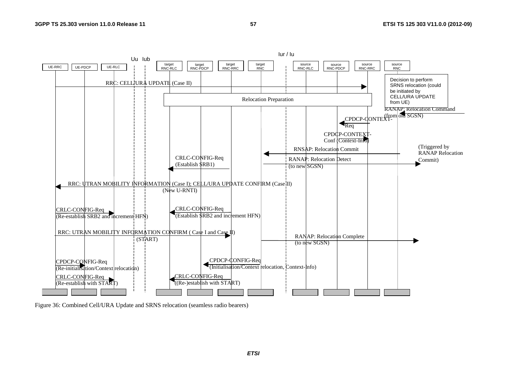

Figure 36: Combined Cell/URA Update and SRNS relocation (seamless radio bearers)

*ETSI*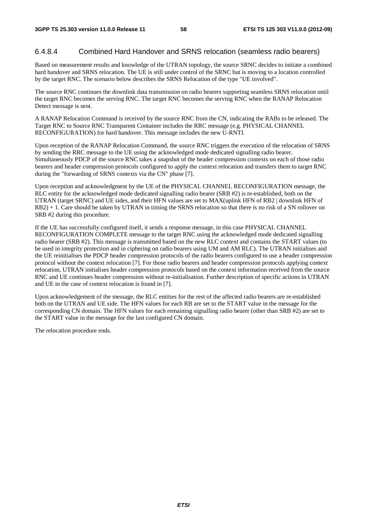#### 6.4.8.4 Combined Hard Handover and SRNS relocation (seamless radio bearers)

Based on measurement results and knowledge of the UTRAN topology, the source SRNC decides to initiate a combined hard handover and SRNS relocation. The UE is still under control of the SRNC but is moving to a location controlled by the target RNC. The scenario below describes the SRNS Relocation of the type "UE involved".

The source RNC continues the downlink data transmission on radio bearers supporting seamless SRNS relocation until the target RNC becomes the serving RNC. The target RNC becomes the serving RNC when the RANAP Relocation Detect message is sent.

A RANAP Relocation Command is received by the source RNC from the CN, indicating the RABs to be released. The Target RNC to Source RNC Transparent Container includes the RRC message (e.g. PHYSICAL CHANNEL RECONFIGURATION) for hard handover. This message includes the new U-RNTI.

Upon reception of the RANAP Relocation Command, the source RNC triggers the execution of the relocation of SRNS by sending the RRC message to the UE using the acknowledged mode dedicated signalling radio bearer. Simultaneously PDCP of the source RNC takes a snapshot of the header compression contexts on each of those radio bearers and header compression protocols configured to apply the context relocation and transfers them to target RNC during the "forwarding of SRNS contexts via the CN" phase [7].

Upon reception and acknowledgment by the UE of the PHYSICAL CHANNEL RECONFIGURATION message, the RLC entity for the acknowledged mode dedicated signalling radio bearer (SRB #2) is re-established, both on the UTRAN (target SRNC) and UE sides, and their HFN values are set to MAX(uplink HFN of RB2 | downlink HFN of RB2) + 1. Care should be taken by UTRAN in timing the SRNS relocation so that there is no risk of a SN rollover on SRB #2 during this procedure.

If the UE has successfully configured itself, it sends a response message, in this case PHYSICAL CHANNEL RECONFIGURATION COMPLETE message to the target RNC using the acknowledged mode dedicated signalling radio bearer (SRB #2). This message is transmitted based on the new RLC context and contains the START values (to be used in integrity protection and in ciphering on radio bearers using UM and AM RLC). The UTRAN initialises and the UE reinitialises the PDCP header compression protocols of the radio bearers configured to use a header compression protocol without the context relocation [7]. For those radio bearers and header compression protocols applying context relocation, UTRAN initialises header compression protocols based on the context information received from the source RNC and UE continues header compression without re-initialisation. Further description of specific actions in UTRAN and UE in the case of context relocation is found in [7].

Upon acknowledgement of the message, the RLC entities for the rest of the affected radio bearers are re-established both on the UTRAN and UE side. The HFN values for each RB are set to the START value in the message for the corresponding CN domain. The HFN values for each remaining signalling radio bearer (other than SRB #2) are set to the START value in the message for the last configured CN domain.

The relocation procedure ends.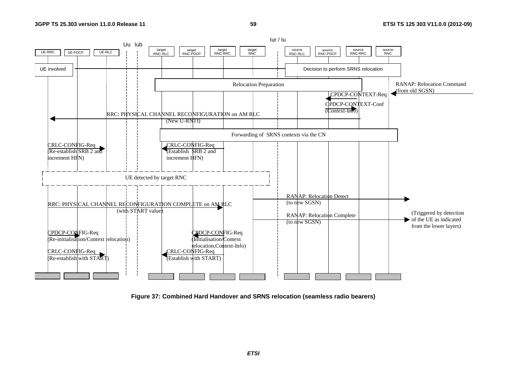

**Figure 37: Combined Hard Handover and SRNS relocation (seamless radio bearers)** 

*ETSI*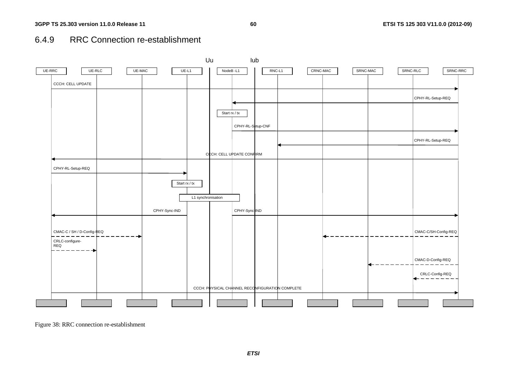# 6.4.9 RRC Connection re-establishment



Figure 38: RRC connection re-establishment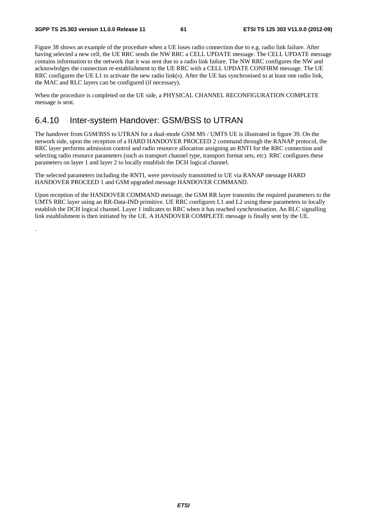.

Figure 38 shows an example of the procedure when a UE loses radio connection due to e.g. radio link failure. After having selected a new cell, the UE RRC sends the NW RRC a CELL UPDATE message. The CELL UPDATE message contains information to the network that it was sent due to a radio link failure. The NW RRC configures the NW and acknowledges the connection re-establishment to the UE RRC with a CELL UPDATE CONFIRM message. The UE RRC configures the UE L1 to activate the new radio link(s). After the UE has synchronised to at least one radio link, the MAC and RLC layers can be configured (if necessary).

When the procedure is completed on the UE side, a PHYSICAL CHANNEL RECONFIGURATION COMPLETE message is sent.

#### 6.4.10 Inter-system Handover: GSM/BSS to UTRAN

The handover from GSM/BSS to UTRAN for a dual-mode GSM MS / UMTS UE is illustrated in figure 39. On the network side, upon the reception of a HARD HANDOVER PROCEED 2 command through the RANAP protocol, the RRC layer performs admission control and radio resource allocation assigning an RNTI for the RRC connection and selecting radio resource parameters (such as transport channel type, transport format sets, etc). RRC configures these parameters on layer 1 and layer 2 to locally establish the DCH logical channel.

The selected parameters including the RNTI, were previously transmitted to UE via RANAP message HARD HANDOVER PROCEED 1 and GSM upgraded message HANDOVER COMMAND.

Upon reception of the HANDOVER COMMAND message, the GSM RR layer transmits the required parameters to the UMTS RRC layer using an RR-Data-IND primitive. UE RRC configures L1 and L2 using these parameters to locally establish the DCH logical channel. Layer 1 indicates to RRC when it has reached synchronisation. An RLC signalling link establishment is then initiated by the UE. A HANDOVER COMPLETE message is finally sent by the UE.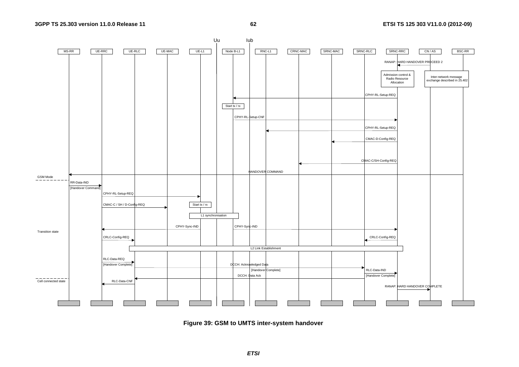

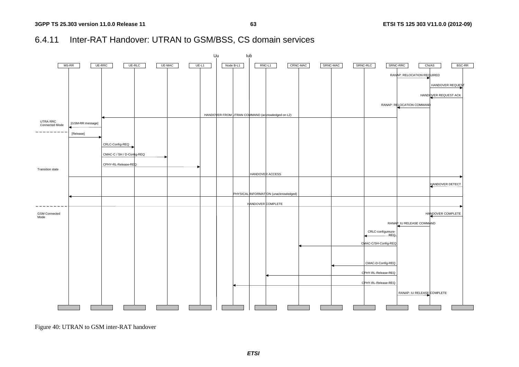# 6.4.11 Inter-RAT Handover: UTRAN to GSM/BSS, CS domain services



Figure 40: UTRAN to GSM inter-RAT handover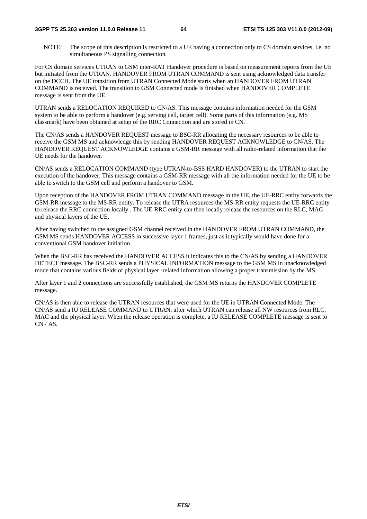NOTE: The scope of this description is restricted to a UE having a connection only to CS domain services, i.e. no simultaneous PS signalling connection.

For CS domain services UTRAN to GSM inter-RAT Handover procedure is based on measurement reports from the UE but initiated from the UTRAN. HANDOVER FROM UTRAN COMMAND is sent using acknowledged data transfer on the DCCH. The UE transition from UTRAN Connected Mode starts when an HANDOVER FROM UTRAN COMMAND is received. The transition to GSM Connected mode is finished when HANDOVER COMPLETE message is sent from the UE.

UTRAN sends a RELOCATION REQUIRED to CN/AS. This message contains information needed for the GSM system to be able to perform a handover (e.g. serving cell, target cell). Some parts of this information (e.g. MS classmark) have been obtained at setup of the RRC Connection and are stored in CN.

The CN/AS sends a HANDOVER REQUEST message to BSC-RR allocating the necessary resources to be able to receive the GSM MS and acknowledge this by sending HANDOVER REQUEST ACKNOWLEDGE to CN/AS. The HANDOVER REQUEST ACKNOWLEDGE contains a GSM-RR message with all radio-related information that the UE needs for the handover.

CN/AS sends a RELOCATION COMMAND (type UTRAN-to-BSS HARD HANDOVER) to the UTRAN to start the execution of the handover. This message contains a GSM-RR message with all the information needed for the UE to be able to switch to the GSM cell and perform a handover to GSM.

Upon reception of the HANDOVER FROM UTRAN COMMAND message in the UE, the UE-RRC entity forwards the GSM-RR message to the MS-RR entity. To release the UTRA resources the MS-RR entity requests the UE-RRC entity to release the RRC connection locally . The UE-RRC entity can then locally release the resources on the RLC, MAC and physical layers of the UE.

After having switched to the assigned GSM channel received in the HANDOVER FROM UTRAN COMMAND, the GSM MS sends HANDOVER ACCESS in successive layer 1 frames, just as it typically would have done for a conventional GSM handover initiation.

When the BSC-RR has received the HANDOVER ACCESS it indicates this to the CN/AS by sending a HANDOVER DETECT message. The BSC-RR sends a PHYSICAL INFORMATION message to the GSM MS in unacknowledged mode that contains various fields of physical layer -related information allowing a proper transmission by the MS.

After layer 1 and 2 connections are successfully established, the GSM MS returns the HANDOVER COMPLETE message.

CN/AS is then able to release the UTRAN resources that were used for the UE in UTRAN Connected Mode. The CN/AS send a IU RELEASE COMMAND to UTRAN, after which UTRAN can release all NW resources from RLC, MAC and the physical layer. When the release operation is complete, a IU RELEASE COMPLETE message is sent to  $CN / AS.$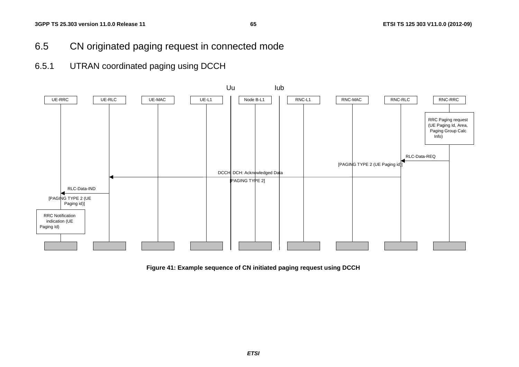- 6.5 CN originated paging request in connected mode
- 6.5.1 UTRAN coordinated paging using DCCH



**Figure 41: Example sequence of CN initiated paging request using DCCH**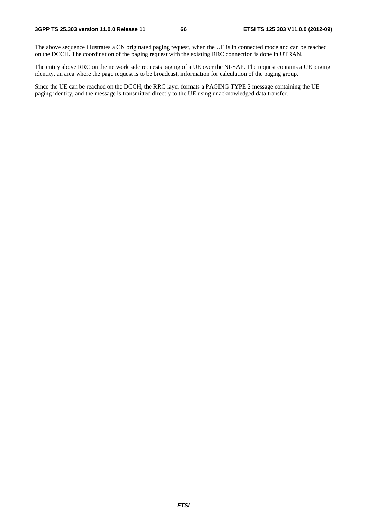The above sequence illustrates a CN originated paging request, when the UE is in connected mode and can be reached on the DCCH. The coordination of the paging request with the existing RRC connection is done in UTRAN.

The entity above RRC on the network side requests paging of a UE over the Nt-SAP. The request contains a UE paging identity, an area where the page request is to be broadcast, information for calculation of the paging group.

Since the UE can be reached on the DCCH, the RRC layer formats a PAGING TYPE 2 message containing the UE paging identity, and the message is transmitted directly to the UE using unacknowledged data transfer.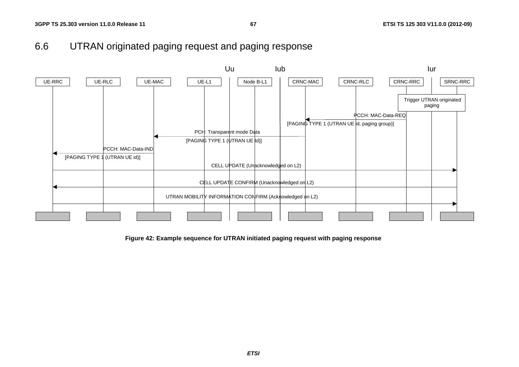



**Figure 42: Example sequence for UTRAN initiated paging request with paging response**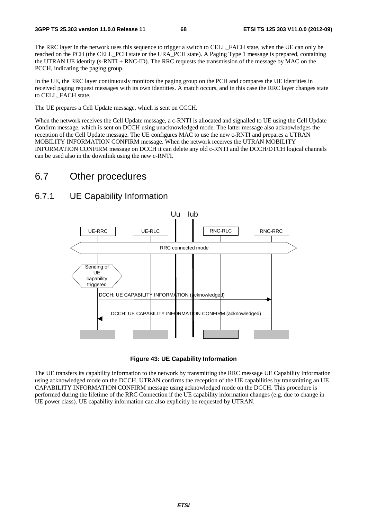The RRC layer in the network uses this sequence to trigger a switch to CELL\_FACH state, when the UE can only be reached on the PCH (the CELL\_PCH state or the URA\_PCH state). A Paging Type 1 message is prepared, containing the UTRAN UE identity (s-RNTI + RNC-ID). The RRC requests the transmission of the message by MAC on the PCCH, indicating the paging group.

In the UE, the RRC layer continuously monitors the paging group on the PCH and compares the UE identities in received paging request messages with its own identities. A match occurs, and in this case the RRC layer changes state to CELL\_FACH state.

The UE prepares a Cell Update message, which is sent on CCCH.

When the network receives the Cell Update message, a c-RNTI is allocated and signalled to UE using the Cell Update Confirm message, which is sent on DCCH using unacknowledged mode. The latter message also acknowledges the reception of the Cell Update message. The UE configures MAC to use the new c-RNTI and prepares a UTRAN MOBILITY INFORMATION CONFIRM message. When the network receives the UTRAN MOBILITY INFORMATION CONFIRM message on DCCH it can delete any old c-RNTI and the DCCH/DTCH logical channels can be used also in the downlink using the new c-RNTI.

# 6.7 Other procedures

#### 6.7.1 UE Capability Information



**Figure 43: UE Capability Information** 

The UE transfers its capability information to the network by transmitting the RRC message UE Capability Information using acknowledged mode on the DCCH. UTRAN confirms the reception of the UE capabilities by transmitting an UE CAPABILITY INFORMATION CONFIRM message using acknowledged mode on the DCCH. This procedure is performed during the lifetime of the RRC Connection if the UE capability information changes (e.g. due to change in UE power class). UE capability information can also explicitly be requested by UTRAN.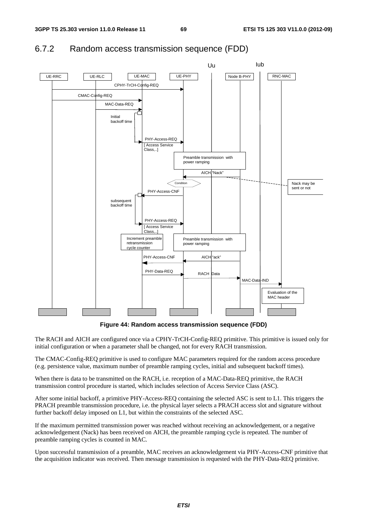

## 6.7.2 Random access transmission sequence (FDD)

**Figure 44: Random access transmission sequence (FDD)** 

The RACH and AICH are configured once via a CPHY-TrCH-Config-REQ primitive. This primitive is issued only for initial configuration or when a parameter shall be changed, not for every RACH transmission.

The CMAC-Config-REQ primitive is used to configure MAC parameters required for the random access procedure (e.g. persistence value, maximum number of preamble ramping cycles, initial and subsequent backoff times).

When there is data to be transmitted on the RACH, i.e. reception of a MAC-Data-REQ primitive, the RACH transmission control procedure is started, which includes selection of Access Service Class (ASC).

After some initial backoff, a primitive PHY-Access-REQ containing the selected ASC is sent to L1. This triggers the PRACH preamble transmission procedure, i.e. the physical layer selects a PRACH access slot and signature without further backoff delay imposed on L1, but within the constraints of the selected ASC.

If the maximum permitted transmission power was reached without receiving an acknowledgement, or a negative acknowledgement (Nack) has been received on AICH, the preamble ramping cycle is repeated. The number of preamble ramping cycles is counted in MAC.

Upon successful transmission of a preamble, MAC receives an acknowledgement via PHY-Access-CNF primitive that the acquisition indicator was received. Then message transmission is requested with the PHY-Data-REQ primitive.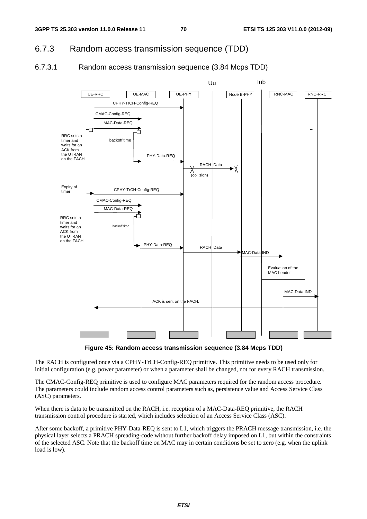## 6.7.3 Random access transmission sequence (TDD)

#### 6.7.3.1 Random access transmission sequence (3.84 Mcps TDD)



**Figure 45: Random access transmission sequence (3.84 Mcps TDD)** 

The RACH is configured once via a CPHY-TrCH-Config-REQ primitive. This primitive needs to be used only for initial configuration (e.g. power parameter) or when a parameter shall be changed, not for every RACH transmission.

The CMAC-Config-REQ primitive is used to configure MAC parameters required for the random access procedure. The parameters could include random access control parameters such as, persistence value and Access Service Class (ASC) parameters.

When there is data to be transmitted on the RACH, i.e. reception of a MAC-Data-REQ primitive, the RACH transmission control procedure is started, which includes selection of an Access Service Class (ASC).

After some backoff, a primitive PHY-Data-REQ is sent to L1, which triggers the PRACH message transmission, i.e. the physical layer selects a PRACH spreading-code without further backoff delay imposed on L1, but within the constraints of the selected ASC. Note that the backoff time on MAC may in certain conditions be set to zero (e.g. when the uplink load is low).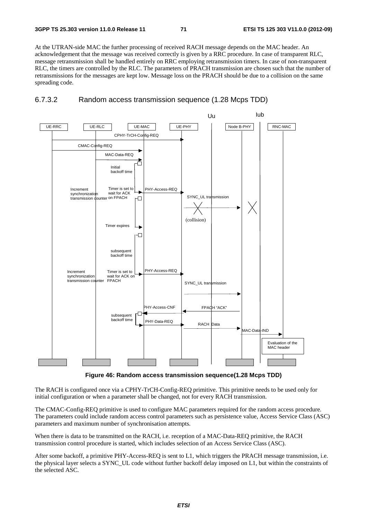At the UTRAN-side MAC the further processing of received RACH message depends on the MAC header. An acknowledgement that the message was received correctly is given by a RRC procedure. In case of transparent RLC, message retransmission shall be handled entirely on RRC employing retransmission timers. In case of non-transparent RLC, the timers are controlled by the RLC. The parameters of PRACH transmission are chosen such that the number of retransmissions for the messages are kept low. Message loss on the PRACH should be due to a collision on the same spreading code.





**Figure 46: Random access transmission sequence(1.28 Mcps TDD)** 

The RACH is configured once via a CPHY-TrCH-Config-REQ primitive. This primitive needs to be used only for initial configuration or when a parameter shall be changed, not for every RACH transmission.

The CMAC-Config-REQ primitive is used to configure MAC parameters required for the random access procedure. The parameters could include random access control parameters such as persistence value, Access Service Class (ASC) parameters and maximum number of synchronisation attempts.

When there is data to be transmitted on the RACH, i.e. reception of a MAC-Data-REQ primitive, the RACH transmission control procedure is started, which includes selection of an Access Service Class (ASC).

After some backoff, a primitive PHY-Access-REQ is sent to L1, which triggers the PRACH message transmission, i.e. the physical layer selects a SYNC\_UL code without further backoff delay imposed on L1, but within the constraints of the selected ASC.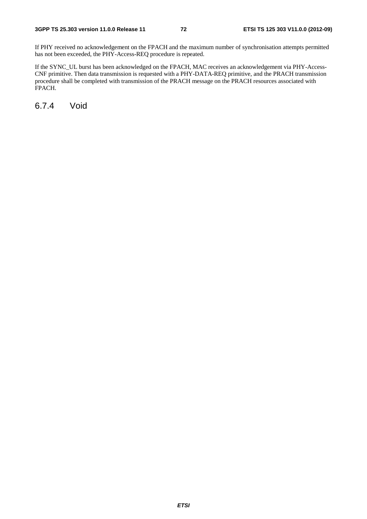If PHY received no acknowledgement on the FPACH and the maximum number of synchronisation attempts permitted has not been exceeded, the PHY-Access-REQ procedure is repeated.

If the SYNC\_UL burst has been acknowledged on the FPACH, MAC receives an acknowledgement via PHY-Access-CNF primitive. Then data transmission is requested with a PHY-DATA-REQ primitive, and the PRACH transmission procedure shall be completed with transmission of the PRACH message on the PRACH resources associated with FPACH.

6.7.4 Void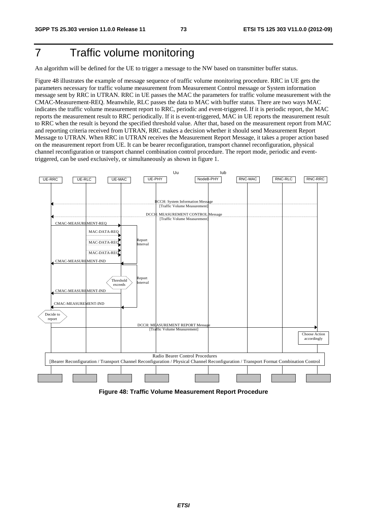## 7 Traffic volume monitoring

An algorithm will be defined for the UE to trigger a message to the NW based on transmitter buffer status.

Figure 48 illustrates the example of message sequence of traffic volume monitoring procedure. RRC in UE gets the parameters necessary for traffic volume measurement from Measurement Control message or System information message sent by RRC in UTRAN. RRC in UE passes the MAC the parameters for traffic volume measurement with the CMAC-Measurement-REQ. Meanwhile, RLC passes the data to MAC with buffer status. There are two ways MAC indicates the traffic volume measurement report to RRC, periodic and event-triggered. If it is periodic report, the MAC reports the measurement result to RRC periodically. If it is event-triggered, MAC in UE reports the measurement result to RRC when the result is beyond the specified threshold value. After that, based on the measurement report from MAC and reporting criteria received from UTRAN, RRC makes a decision whether it should send Measurement Report Message to UTRAN. When RRC in UTRAN receives the Measurement Report Message, it takes a proper action based on the measurement report from UE. It can be bearer reconfiguration, transport channel reconfiguration, physical channel reconfiguration or transport channel combination control procedure. The report mode, periodic and eventtriggered, can be used exclusively, or simultaneously as shown in figure 1.



**Figure 48: Traffic Volume Measurement Report Procedure**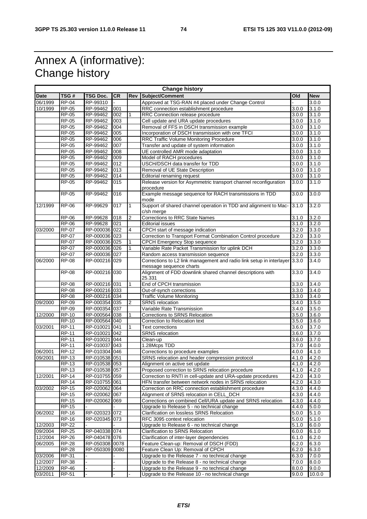## Annex A (informative): Change history

| <b>Change history</b> |              |                |           |                |                                                                                |                    |            |
|-----------------------|--------------|----------------|-----------|----------------|--------------------------------------------------------------------------------|--------------------|------------|
| <b>Date</b>           | TSG#         | TSG Doc.       | <b>CR</b> | <b>Rev</b>     | Subject/Comment                                                                | Old                | <b>New</b> |
| 06/1999               | <b>RP-04</b> | RP-99310       |           |                | Approved at TSG-RAN #4 placed under Change Control                             |                    | 3.0.0      |
| 10/1999               | <b>RP-05</b> | RP-99462       | 001       |                | RRC connection establishment procedure                                         | 3.0.0              | 3.1.0      |
|                       | $RP-05$      | RP-99462       | 002       |                | RRC Connection release procedure                                               | 3.0.0              | 3.1.0      |
|                       | <b>RP-05</b> | RP-99462       | 003       |                | Cell update and URA update procedures                                          | 3.0.0              | 3.1.0      |
|                       | RP-05        | RP-99462       | 004       |                | Removal of FFS in DSCH transmission example                                    | 3.0.0              | 3.1.0      |
|                       | <b>RP-05</b> | RP-99462       | 005       |                | Incorporation of DSCH transmission with one TFCI                               | 3.0.0              | 3.1.0      |
|                       | <b>RP-05</b> | RP-99462       | 006       |                | RRC Traffic Volume Monitoring Procedure                                        | 3.0.0              | 3.1.0      |
|                       | RP-05        | RP-99462       | 007       |                | Transfer and update of system information                                      | 3.0.0              | 3.1.0      |
|                       | <b>RP-05</b> | RP-99462       | 008       |                | UE controlled AMR mode adaptation                                              | 3.0.0              | 3.1.0      |
|                       | <b>RP-05</b> | RP-99462       | 009       |                | Model of RACH procedures                                                       | 3.0.0              | 3.1.0      |
|                       | $RP-05$      | RP-99462       | 012       |                | USCH/DSCH data transfer for TDD                                                | 3.0.0              | 3.1.0      |
|                       | <b>RP-05</b> |                | 013       |                |                                                                                | 3.0.0              |            |
|                       |              | RP-99462       |           |                | Removal of UE State Description                                                |                    | 3.1.0      |
|                       | <b>RP-05</b> | RP-99462       | 014       |                | <b>Editorial renaming request</b>                                              | 3.0.0              | 3.1.0      |
|                       | RP-05        | RP-99462       | 015       |                | Release version for Asymmetric transport channel reconfiguration               | 3.0.0              | 3.1.0      |
|                       |              |                |           |                | procedure                                                                      |                    |            |
|                       | <b>RP-05</b> | RP-99462       | 016       |                | Example message sequence for RACH transmissions in TDD<br>mode                 | 3.0.0              | 3.0.0      |
| 12/1999               | <b>RP-06</b> | RP-99629       | 017       | 1              | Support of shared channel operation in TDD and alignment to Mac-<br>c/sh merge | 3.1.0              | 3.2.0      |
|                       | <b>RP-06</b> | RP-99628       | 018       | 2              | Corrections to RRC State Names                                                 | 3.1.0              | 3.2.0      |
|                       | <b>RP-06</b> | RP-99628       | 021       |                | <b>Editorial issues</b>                                                        | 3.1.0              | 3.2.0      |
| 03/2000               | $RP-07$      | RP-000036 022  |           | $\overline{4}$ | CPCH start of message indication                                               | 3.2.0              | 3.3.0      |
|                       | <b>RP-07</b> | RP-000036 023  |           |                | Correction to Transport Format Combination Control procedure                   | 3.2.0              | 3.3.0      |
|                       | <b>RP-07</b> | RP-000036 025  |           |                | <b>CPCH Emergency Stop sequence</b>                                            | 3.2.0              | 3.3.0      |
|                       | <b>RP-07</b> | RP-000036 026  |           | 1              | Variable Rate Packet Transmission for uplink DCH                               | 3.2.0              | 3.3.0      |
|                       | <b>RP-07</b> | RP-000036 027  |           |                | Random access transmission sequence                                            | 3.2.0              | 3.3.0      |
| 06/2000               | <b>RP-08</b> | RP-000216 029  |           |                | Corrections to L2 link management and radio link setup in interlayer 3.3.0     |                    | 3.4.0      |
|                       |              |                |           |                | message sequence charts                                                        |                    |            |
|                       | <b>RP-08</b> | RP-000216 030  |           |                | Alignment of FDD downlink shared channel descriptions with<br>25.331           | 3.3.0              | 3.4.0      |
|                       | <b>RP-08</b> | RP-000216 031  |           | 1              | End of CPCH transmission                                                       | 3.3.0              | 3.4.0      |
|                       | <b>RP-08</b> | RP-000216 033  |           |                | Out-of-synch corrections                                                       | 3.3.0              | 3.4.0      |
|                       | $RP-08$      | RP-000216 034  |           |                | <b>Traffic Volume Monitoring</b>                                               | 3.3.0              | 3.4.0      |
|                       |              |                |           |                |                                                                                |                    |            |
| 09/2000               | <b>RP-09</b> | RP-000354 035  |           | 2              | <b>SRNS</b> relocation                                                         | $\overline{3.4.0}$ | 3.5.0      |
|                       | <b>RP-09</b> | RP-000354 037  |           |                | Variable Rate Transmission                                                     | 3.4.0              | 3.5.0      |
| 12/2000               | <b>RP-10</b> | RP-000564 038  |           |                | Corrections to SRNS Relocation                                                 | 3.5.0              | 3.6.0      |
|                       | <b>RP-10</b> | RP-000564 040  |           |                | Correction to Relocation text                                                  | 3.5.0              | 3.6.0      |
| 03/2001               | <b>RP-11</b> | RP-010021      | 041       |                | <b>Text corrections</b>                                                        | 3.6.0              | 3.7.0      |
|                       | <b>RP-11</b> | RP-010021 042  |           |                | <b>SRNS</b> relocation                                                         | 3.6.0              | 3.7.0      |
|                       | $RP-11$      | RP-010021 044  |           |                | Clean-up                                                                       | 3.6.0              | 3.7.0      |
|                       | <b>RP-11</b> | RP-010037 043  |           |                | 1.28Mcps TDD                                                                   | 3.7.0              | 4.0.0      |
| 06/2001               | <b>RP-12</b> | RP-010304 046  |           |                | Corrections to procedure examples                                              | 4.0.0              | 4.1.0      |
| 09/2001               | RP-13        | RP-010538 051  |           |                | SRNS relocation and header compression protocol                                | 4.1.0              | 4.2.0      |
|                       | <b>RP-13</b> | RP-010538 053  |           |                | Alignment on active set update                                                 | 4.1.0              | 4.2.0      |
|                       | <b>RP-13</b> | RP-010538 057  |           |                | Proposed correction to SRNS relocation procedure                               | 4.1.0              | 4.2.0      |
| 12/2001               | <b>RP-14</b> | RP-010755 059  |           |                | Correction to RNTI in cell-update and URA-update procedures                    | 4.2.0              | 4.3.0      |
|                       | $RP-14$      | RP-010755 061  |           |                | HFN transfer between network nodes in SRNS relocation                          | 4.2.0              | 4.3.0      |
| 03/2002               | <b>RP-15</b> | RP-020062 064  |           |                | Correction on RRC connection establishment procedure                           | 4.3.0              | 4.4.0      |
|                       | <b>RP-15</b> | RP-020062 067  |           |                | Alignment of SRNS relocation in CELL_DCH                                       | 4.3.0              | 4.4.0      |
|                       | <b>RP-15</b> | RP-020062 069  |           |                | Corrections on combined Cell/URA update and SRNS relocation                    | 4.3.0              | 4.4.0      |
|                       | <b>RP-15</b> |                |           |                | Upgrade to Release 5 - no technical change                                     | 4.4.0              | 5.0.0      |
| 06/2002               | <b>RP-16</b> | RP-020323 072  |           |                | Clarification on lossless SRNS Relocation                                      | 5.0.0              | 5.1.0      |
|                       | <b>RP-16</b> | RP-020345 073  |           |                | RFC 3095 context relocation                                                    | 5.0.0              | 5.1.0      |
| 12/2003               | <b>RP-22</b> |                |           |                | Upgrade to Release 6 - no technical change                                     | 5.1.0              | 6.0.0      |
| 09/2004               | <b>RP-25</b> | RP-040338 074  |           |                | Clarification to SRNS Relocation                                               | 6.0.0              | 6.1.0      |
| 12/2004               | <b>RP-26</b> | RP-040478 076  |           |                | Clarification of inter-layer dependencies                                      | 6.1.0              | 6.2.0      |
| 06/2005               | <b>RP-28</b> | RP-050308 0078 |           |                | Feature Clean-up: Removal of DSCH (FDD)                                        | 6.2.0              | 6.3.0      |
|                       | $RP-28$      | RP-050309 0080 |           |                | Feature Clean Up: Removal of CPCH                                              | 6.2.0              | 6.3.0      |
| 03/2006               | RP-31        |                |           |                | Upgrade to the Release 7 - no technical change                                 | 6.3.0              | 7.0.0      |
| 12/2007               | <b>RP-38</b> |                |           |                | Upgrade to the Release 8 - no technical change                                 | 7.0.0              | 8.0.0      |
| 12/2009               | <b>RP-46</b> |                |           |                | Upgrade to the Release 9 - no technical change                                 | 8.0.0              | 9.0.0      |
| 03/2011               | RP-51        |                |           |                | Upgrade to the Release 10 - no technical change                                | 9.0.0              | 10.0.0     |
|                       |              |                |           |                |                                                                                |                    |            |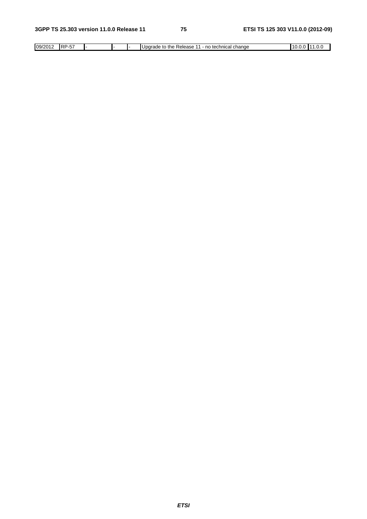| 09/2012 | ---<br>IRP.<br>ັ |  |  | ∈technical t<br>the<br>l change<br>л л<br>Updrade<br>no<br>Release<br>to | . .<br>. | .v.v |
|---------|------------------|--|--|--------------------------------------------------------------------------|----------|------|
|         |                  |  |  |                                                                          |          |      |